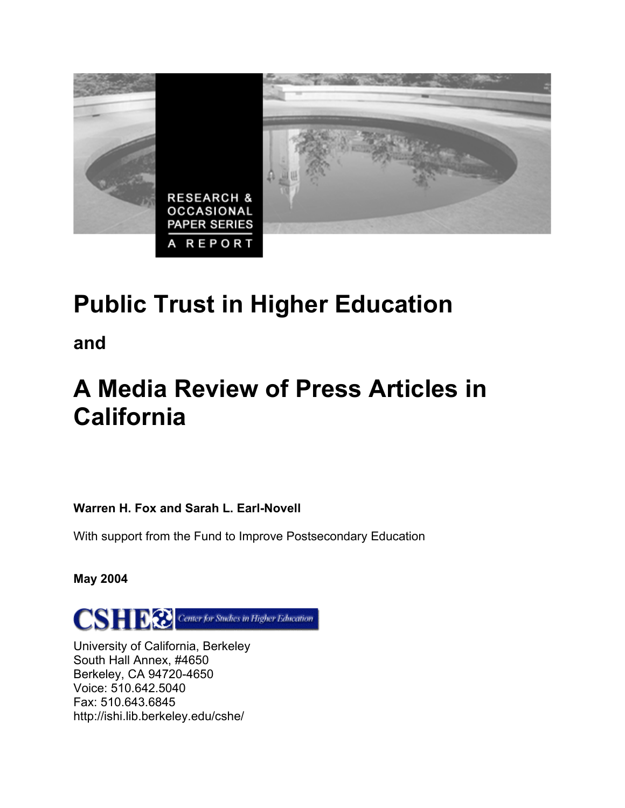

# **Public Trust in Higher Education**

**and** 

## **A Media Review of Press Articles in California**

**Warren H. Fox and Sarah L. Earl-Novell** 

With support from the Fund to Improve Postsecondary Education

**May 2004** 



University of California, Berkeley South Hall Annex, #4650 Berkeley, CA 94720-4650 Voice: 510.642.5040 Fax: 510.643.6845 http://ishi.lib.berkeley.edu/cshe/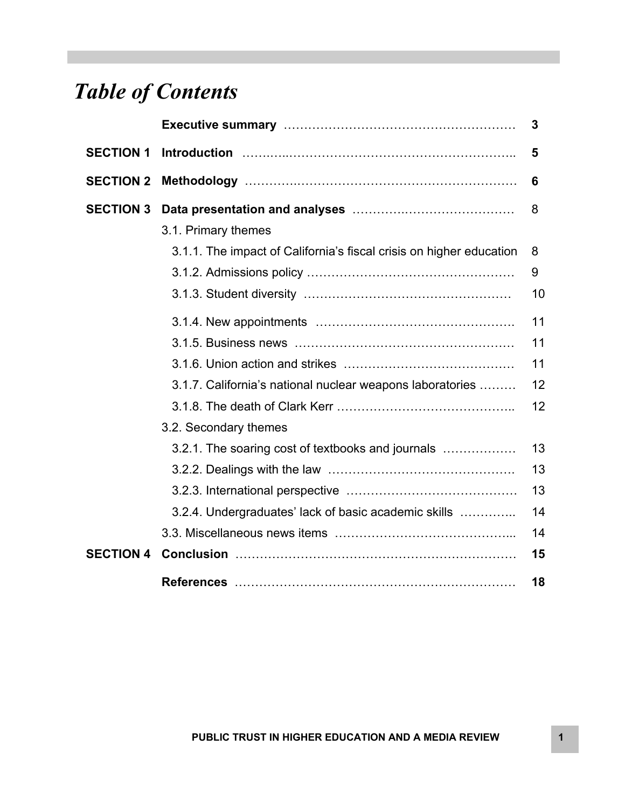## *Table of Contents*

|                  |                                                                     | 3  |
|------------------|---------------------------------------------------------------------|----|
| <b>SECTION 1</b> |                                                                     | 5  |
| <b>SECTION 2</b> |                                                                     | 6  |
| <b>SECTION 3</b> |                                                                     | 8  |
|                  | 3.1. Primary themes                                                 |    |
|                  | 3.1.1. The impact of California's fiscal crisis on higher education | 8  |
|                  |                                                                     | 9  |
|                  |                                                                     | 10 |
|                  |                                                                     | 11 |
|                  |                                                                     | 11 |
|                  |                                                                     | 11 |
|                  | 3.1.7. California's national nuclear weapons laboratories           | 12 |
|                  |                                                                     | 12 |
|                  | 3.2. Secondary themes                                               |    |
|                  | 3.2.1. The soaring cost of textbooks and journals                   | 13 |
|                  |                                                                     | 13 |
|                  |                                                                     | 13 |
|                  | 3.2.4. Undergraduates' lack of basic academic skills                | 14 |
|                  |                                                                     | 14 |
| <b>SECTION 4</b> |                                                                     | 15 |
|                  |                                                                     | 18 |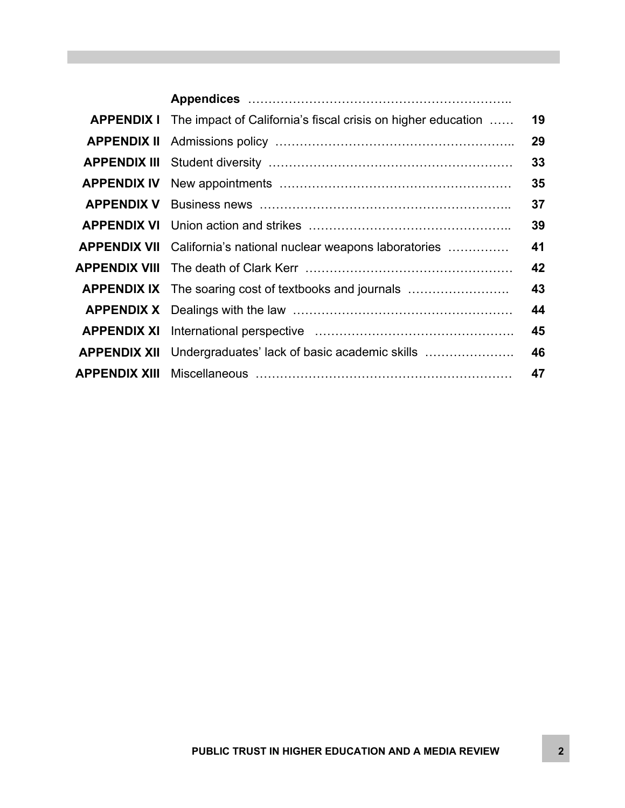| <b>APPENDIX I</b>   | The impact of California's fiscal crisis on higher education      | 19 |
|---------------------|-------------------------------------------------------------------|----|
| <b>APPENDIX II</b>  |                                                                   | 29 |
| <b>APPENDIX III</b> |                                                                   | 33 |
| <b>APPENDIX IV</b>  |                                                                   | 35 |
| <b>APPENDIX V</b>   |                                                                   | 37 |
| <b>APPENDIX VI</b>  |                                                                   | 39 |
| <b>APPENDIX VII</b> | California's national nuclear weapons laboratories                | 41 |
| APPENDIX VIII       |                                                                   | 42 |
|                     | <b>APPENDIX IX</b> The soaring cost of textbooks and journals     | 43 |
|                     |                                                                   | 44 |
|                     |                                                                   | 45 |
|                     | <b>APPENDIX XII</b> Undergraduates' lack of basic academic skills | 46 |
| APPENDIX XIII       |                                                                   | 47 |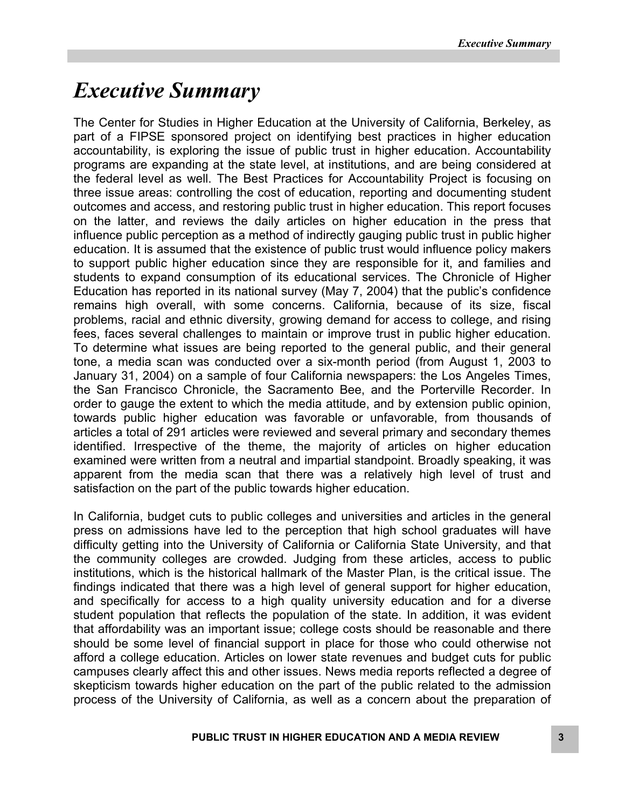### *Executive Summary*

The Center for Studies in Higher Education at the University of California, Berkeley, as part of a FIPSE sponsored project on identifying best practices in higher education accountability, is exploring the issue of public trust in higher education. Accountability programs are expanding at the state level, at institutions, and are being considered at the federal level as well. The Best Practices for Accountability Project is focusing on three issue areas: controlling the cost of education, reporting and documenting student outcomes and access, and restoring public trust in higher education. This report focuses on the latter, and reviews the daily articles on higher education in the press that influence public perception as a method of indirectly gauging public trust in public higher education. It is assumed that the existence of public trust would influence policy makers to support public higher education since they are responsible for it, and families and students to expand consumption of its educational services. The Chronicle of Higher Education has reported in its national survey (May 7, 2004) that the public's confidence remains high overall, with some concerns. California, because of its size, fiscal problems, racial and ethnic diversity, growing demand for access to college, and rising fees, faces several challenges to maintain or improve trust in public higher education. To determine what issues are being reported to the general public, and their general tone, a media scan was conducted over a six-month period (from August 1, 2003 to January 31, 2004) on a sample of four California newspapers: the Los Angeles Times, the San Francisco Chronicle, the Sacramento Bee, and the Porterville Recorder. In order to gauge the extent to which the media attitude, and by extension public opinion, towards public higher education was favorable or unfavorable, from thousands of articles a total of 291 articles were reviewed and several primary and secondary themes identified. Irrespective of the theme, the majority of articles on higher education examined were written from a neutral and impartial standpoint. Broadly speaking, it was apparent from the media scan that there was a relatively high level of trust and satisfaction on the part of the public towards higher education.

In California, budget cuts to public colleges and universities and articles in the general press on admissions have led to the perception that high school graduates will have difficulty getting into the University of California or California State University, and that the community colleges are crowded. Judging from these articles, access to public institutions, which is the historical hallmark of the Master Plan, is the critical issue. The findings indicated that there was a high level of general support for higher education, and specifically for access to a high quality university education and for a diverse student population that reflects the population of the state. In addition, it was evident that affordability was an important issue; college costs should be reasonable and there should be some level of financial support in place for those who could otherwise not afford a college education. Articles on lower state revenues and budget cuts for public campuses clearly affect this and other issues. News media reports reflected a degree of skepticism towards higher education on the part of the public related to the admission process of the University of California, as well as a concern about the preparation of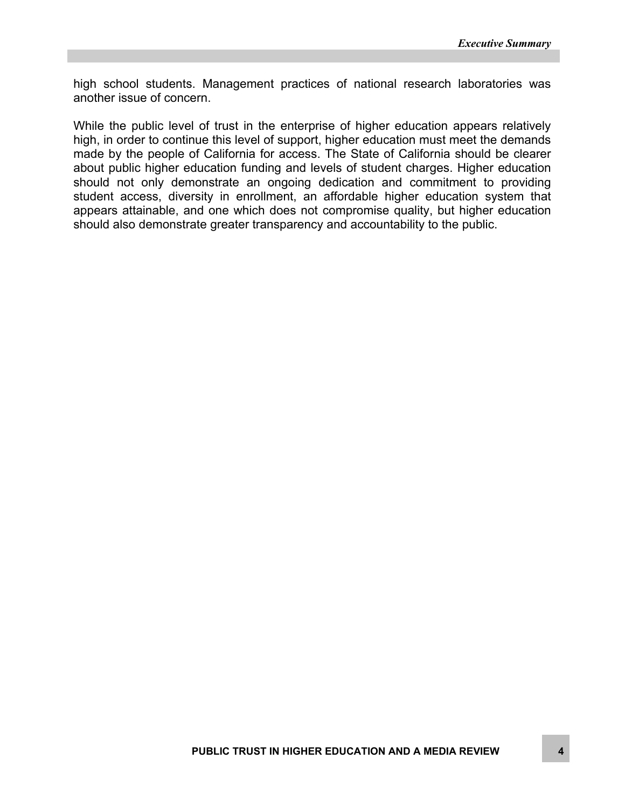high school students. Management practices of national research laboratories was another issue of concern.

While the public level of trust in the enterprise of higher education appears relatively high, in order to continue this level of support, higher education must meet the demands made by the people of California for access. The State of California should be clearer about public higher education funding and levels of student charges. Higher education should not only demonstrate an ongoing dedication and commitment to providing student access, diversity in enrollment, an affordable higher education system that appears attainable, and one which does not compromise quality, but higher education should also demonstrate greater transparency and accountability to the public.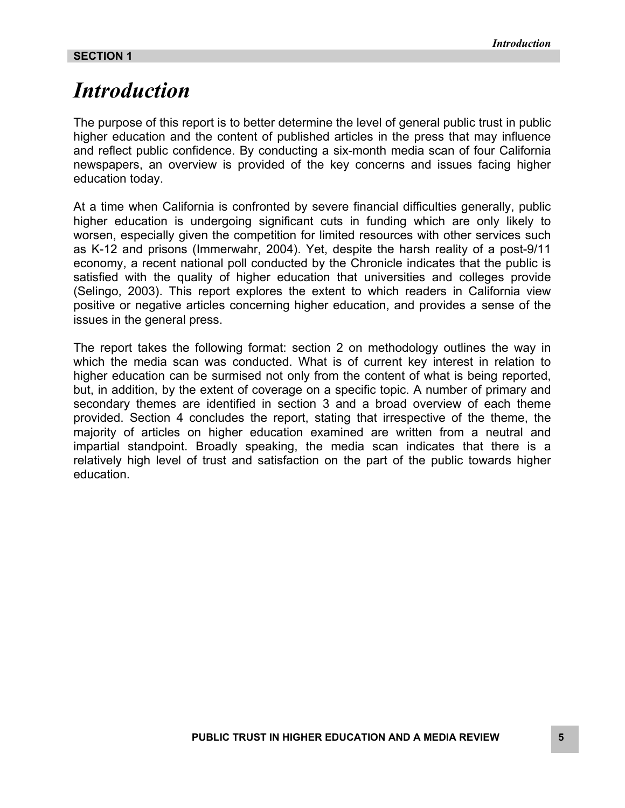### *Introduction*

The purpose of this report is to better determine the level of general public trust in public higher education and the content of published articles in the press that may influence and reflect public confidence. By conducting a six-month media scan of four California newspapers, an overview is provided of the key concerns and issues facing higher education today.

At a time when California is confronted by severe financial difficulties generally, public higher education is undergoing significant cuts in funding which are only likely to worsen, especially given the competition for limited resources with other services such as K-12 and prisons (Immerwahr, 2004). Yet, despite the harsh reality of a post-9/11 economy, a recent national poll conducted by the Chronicle indicates that the public is satisfied with the quality of higher education that universities and colleges provide (Selingo, 2003). This report explores the extent to which readers in California view positive or negative articles concerning higher education, and provides a sense of the issues in the general press.

The report takes the following format: section 2 on methodology outlines the way in which the media scan was conducted. What is of current key interest in relation to higher education can be surmised not only from the content of what is being reported, but, in addition, by the extent of coverage on a specific topic. A number of primary and secondary themes are identified in section 3 and a broad overview of each theme provided. Section 4 concludes the report, stating that irrespective of the theme, the majority of articles on higher education examined are written from a neutral and impartial standpoint. Broadly speaking, the media scan indicates that there is a relatively high level of trust and satisfaction on the part of the public towards higher education.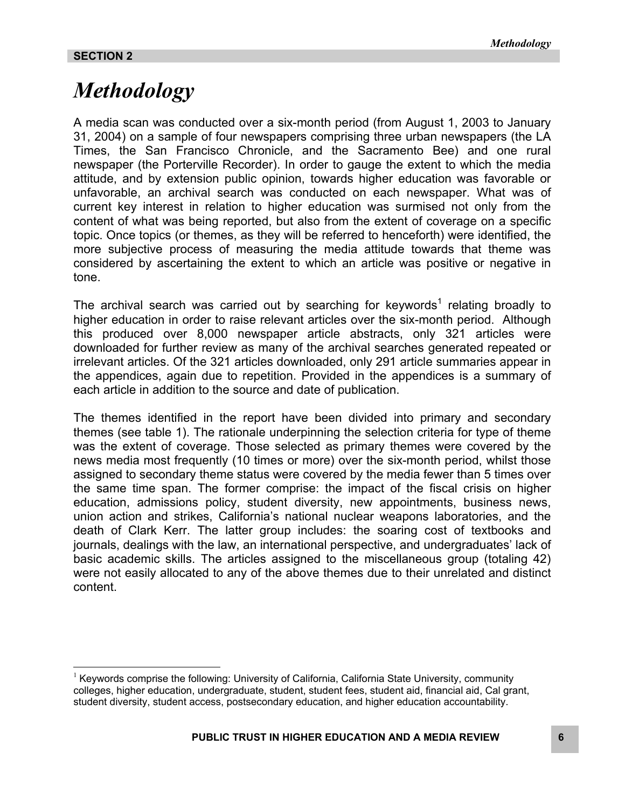<u>.</u>

### *Methodology*

A media scan was conducted over a six-month period (from August 1, 2003 to January 31, 2004) on a sample of four newspapers comprising three urban newspapers (the LA Times, the San Francisco Chronicle, and the Sacramento Bee) and one rural newspaper (the Porterville Recorder). In order to gauge the extent to which the media attitude, and by extension public opinion, towards higher education was favorable or unfavorable, an archival search was conducted on each newspaper. What was of current key interest in relation to higher education was surmised not only from the content of what was being reported, but also from the extent of coverage on a specific topic. Once topics (or themes, as they will be referred to henceforth) were identified, the more subjective process of measuring the media attitude towards that theme was considered by ascertaining the extent to which an article was positive or negative in tone.

Thearchival search was carried out by searching for keywords<sup>1</sup> relating broadly to higher education in order to raise relevant articles over the six-month period. Although this produced over 8,000 newspaper article abstracts, only 321 articles were downloaded for further review as many of the archival searches generated repeated or irrelevant articles. Of the 321 articles downloaded, only 291 article summaries appear in the appendices, again due to repetition. Provided in the appendices is a summary of each article in addition to the source and date of publication.

The themes identified in the report have been divided into primary and secondary themes (see table 1). The rationale underpinning the selection criteria for type of theme was the extent of coverage. Those selected as primary themes were covered by the news media most frequently (10 times or more) over the six-month period, whilst those assigned to secondary theme status were covered by the media fewer than 5 times over the same time span. The former comprise: the impact of the fiscal crisis on higher education, admissions policy, student diversity, new appointments, business news, union action and strikes, California's national nuclear weapons laboratories, and the death of Clark Kerr. The latter group includes: the soaring cost of textbooks and journals, dealings with the law, an international perspective, and undergraduates' lack of basic academic skills. The articles assigned to the miscellaneous group (totaling 42) were not easily allocated to any of the above themes due to their unrelated and distinct content.

<span id="page-6-0"></span> $<sup>1</sup>$  Keywords comprise the following: University of California, California State University, community</sup> colleges, higher education, undergraduate, student, student fees, student aid, financial aid, Cal grant, student diversity, student access, postsecondary education, and higher education accountability.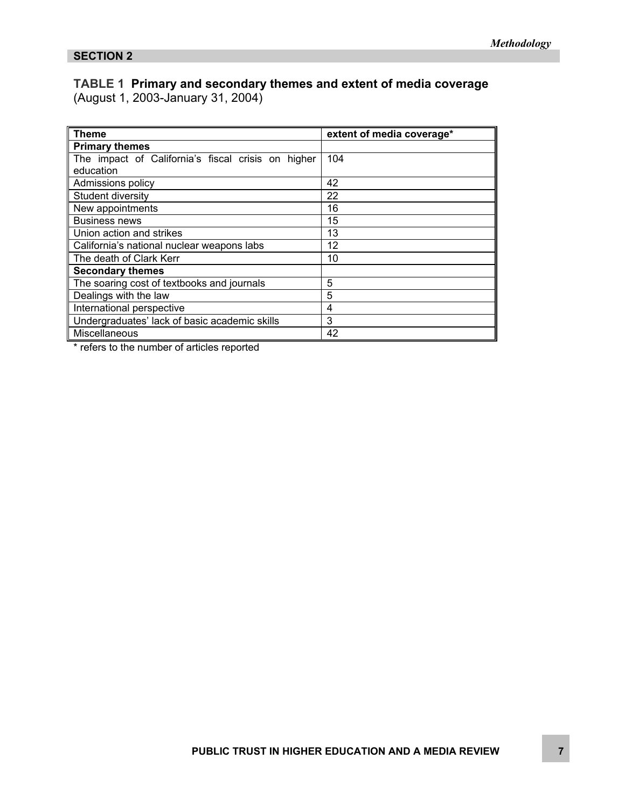### **TABLE 1 Primary and secondary themes and extent of media coverage**

(August 1, 2003-January 31, 2004)

| ∥ Theme                                            | extent of media coverage* |
|----------------------------------------------------|---------------------------|
| <b>Primary themes</b>                              |                           |
| The impact of California's fiscal crisis on higher | 104                       |
| education                                          |                           |
| Admissions policy                                  | 42                        |
| Student diversity                                  | 22                        |
| New appointments                                   | 16                        |
| <b>Business news</b>                               | 15                        |
| Union action and strikes                           | 13                        |
| California's national nuclear weapons labs         | 12                        |
| The death of Clark Kerr                            | 10                        |
| Secondary themes                                   |                           |
| The soaring cost of textbooks and journals         | 5                         |
| Dealings with the law                              | 5                         |
| International perspective                          | 4                         |
| Undergraduates' lack of basic academic skills      | 3                         |
| Miscellaneous                                      | 42                        |

\* refers to the number of articles reported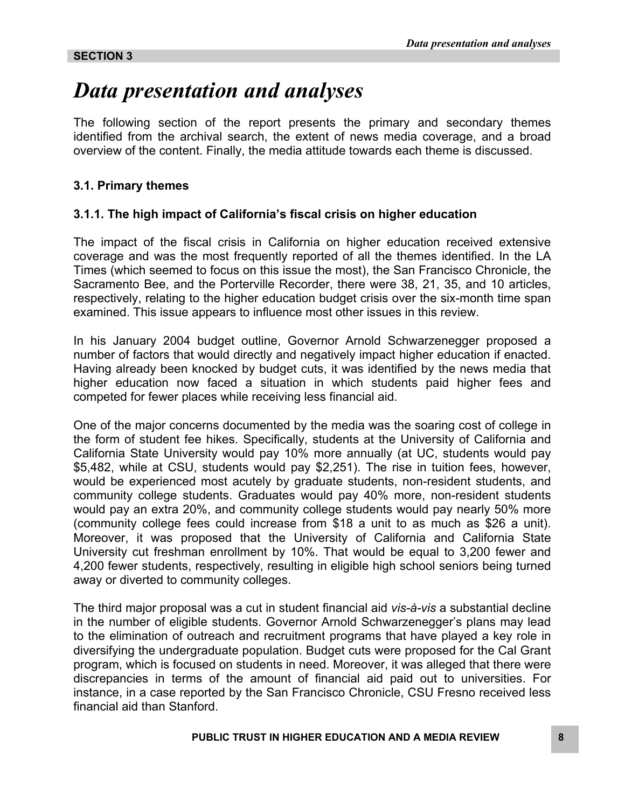### *Data presentation and analyses*

The following section of the report presents the primary and secondary themes identified from the archival search, the extent of news media coverage, and a broad overview of the content. Finally, the media attitude towards each theme is discussed.

#### **3.1. Primary themes**

#### **3.1.1. The high impact of California's fiscal crisis on higher education**

The impact of the fiscal crisis in California on higher education received extensive coverage and was the most frequently reported of all the themes identified. In the LA Times (which seemed to focus on this issue the most), the San Francisco Chronicle, the Sacramento Bee, and the Porterville Recorder, there were 38, 21, 35, and 10 articles, respectively, relating to the higher education budget crisis over the six-month time span examined. This issue appears to influence most other issues in this review.

In his January 2004 budget outline, Governor Arnold Schwarzenegger proposed a number of factors that would directly and negatively impact higher education if enacted. Having already been knocked by budget cuts, it was identified by the news media that higher education now faced a situation in which students paid higher fees and competed for fewer places while receiving less financial aid.

One of the major concerns documented by the media was the soaring cost of college in the form of student fee hikes. Specifically, students at the University of California and California State University would pay 10% more annually (at UC, students would pay \$5,482, while at CSU, students would pay \$2,251). The rise in tuition fees, however, would be experienced most acutely by graduate students, non-resident students, and community college students. Graduates would pay 40% more, non-resident students would pay an extra 20%, and community college students would pay nearly 50% more (community college fees could increase from \$18 a unit to as much as \$26 a unit). Moreover, it was proposed that the University of California and California State University cut freshman enrollment by 10%. That would be equal to 3,200 fewer and 4,200 fewer students, respectively, resulting in eligible high school seniors being turned away or diverted to community colleges.

The third major proposal was a cut in student financial aid *vis-à-vis* a substantial decline in the number of eligible students. Governor Arnold Schwarzenegger's plans may lead to the elimination of outreach and recruitment programs that have played a key role in diversifying the undergraduate population. Budget cuts were proposed for the Cal Grant program, which is focused on students in need. Moreover, it was alleged that there were discrepancies in terms of the amount of financial aid paid out to universities. For instance, in a case reported by the San Francisco Chronicle, CSU Fresno received less financial aid than Stanford.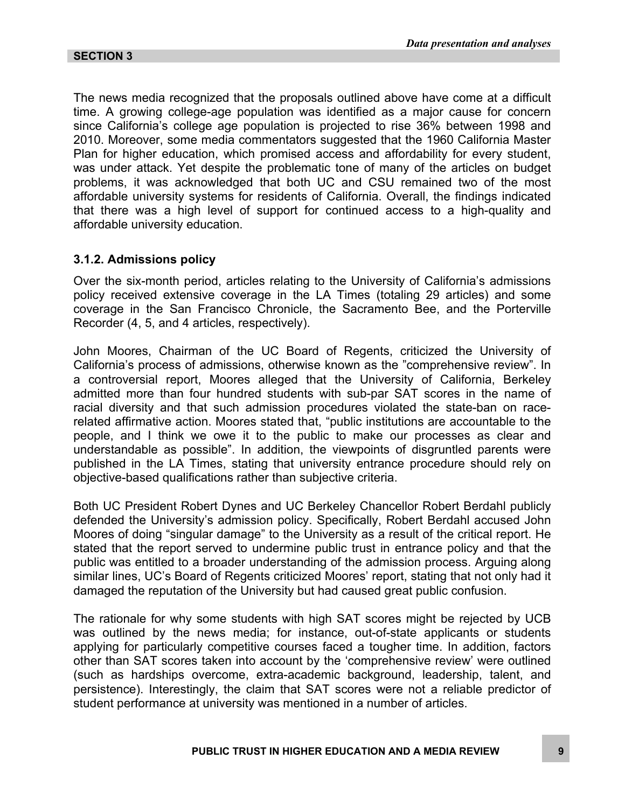The news media recognized that the proposals outlined above have come at a difficult time. A growing college-age population was identified as a major cause for concern since California's college age population is projected to rise 36% between 1998 and 2010. Moreover, some media commentators suggested that the 1960 California Master Plan for higher education, which promised access and affordability for every student, was under attack. Yet despite the problematic tone of many of the articles on budget problems, it was acknowledged that both UC and CSU remained two of the most affordable university systems for residents of California. Overall, the findings indicated that there was a high level of support for continued access to a high-quality and affordable university education.

#### **3.1.2. Admissions policy**

Over the six-month period, articles relating to the University of California's admissions policy received extensive coverage in the LA Times (totaling 29 articles) and some coverage in the San Francisco Chronicle, the Sacramento Bee, and the Porterville Recorder (4, 5, and 4 articles, respectively).

John Moores, Chairman of the UC Board of Regents, criticized the University of California's process of admissions, otherwise known as the "comprehensive review". In a controversial report, Moores alleged that the University of California, Berkeley admitted more than four hundred students with sub-par SAT scores in the name of racial diversity and that such admission procedures violated the state-ban on racerelated affirmative action. Moores stated that, "public institutions are accountable to the people, and I think we owe it to the public to make our processes as clear and understandable as possible". In addition, the viewpoints of disgruntled parents were published in the LA Times, stating that university entrance procedure should rely on objective-based qualifications rather than subjective criteria.

Both UC President Robert Dynes and UC Berkeley Chancellor Robert Berdahl publicly defended the University's admission policy. Specifically, Robert Berdahl accused John Moores of doing "singular damage" to the University as a result of the critical report. He stated that the report served to undermine public trust in entrance policy and that the public was entitled to a broader understanding of the admission process. Arguing along similar lines, UC's Board of Regents criticized Moores' report, stating that not only had it damaged the reputation of the University but had caused great public confusion.

The rationale for why some students with high SAT scores might be rejected by UCB was outlined by the news media; for instance, out-of-state applicants or students applying for particularly competitive courses faced a tougher time. In addition, factors other than SAT scores taken into account by the 'comprehensive review' were outlined (such as hardships overcome, extra-academic background, leadership, talent, and persistence). Interestingly, the claim that SAT scores were not a reliable predictor of student performance at university was mentioned in a number of articles.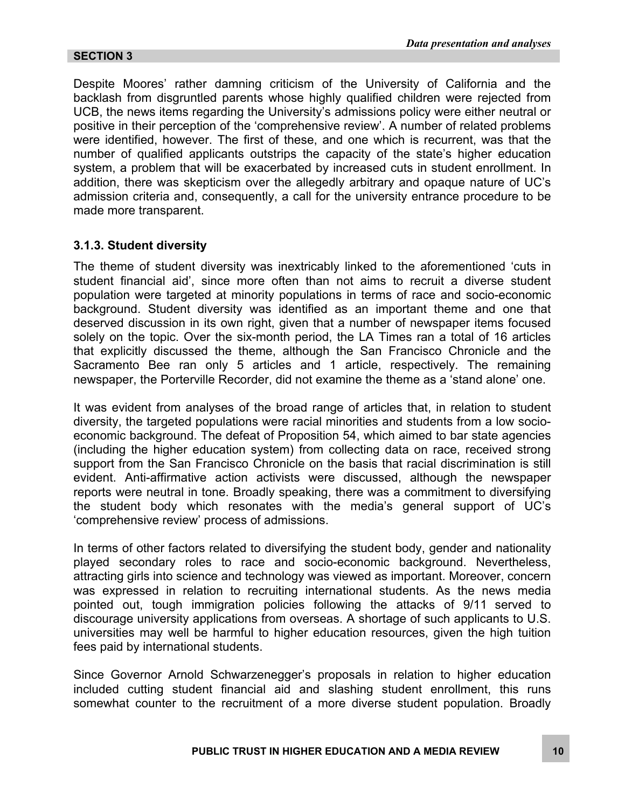Despite Moores' rather damning criticism of the University of California and the backlash from disgruntled parents whose highly qualified children were rejected from UCB, the news items regarding the University's admissions policy were either neutral or positive in their perception of the 'comprehensive review'. A number of related problems were identified, however. The first of these, and one which is recurrent, was that the number of qualified applicants outstrips the capacity of the state's higher education system, a problem that will be exacerbated by increased cuts in student enrollment. In addition, there was skepticism over the allegedly arbitrary and opaque nature of UC's admission criteria and, consequently, a call for the university entrance procedure to be made more transparent.

#### **3.1.3. Student diversity**

The theme of student diversity was inextricably linked to the aforementioned 'cuts in student financial aid', since more often than not aims to recruit a diverse student population were targeted at minority populations in terms of race and socio-economic background. Student diversity was identified as an important theme and one that deserved discussion in its own right, given that a number of newspaper items focused solely on the topic. Over the six-month period, the LA Times ran a total of 16 articles that explicitly discussed the theme, although the San Francisco Chronicle and the Sacramento Bee ran only 5 articles and 1 article, respectively. The remaining newspaper, the Porterville Recorder, did not examine the theme as a 'stand alone' one.

It was evident from analyses of the broad range of articles that, in relation to student diversity, the targeted populations were racial minorities and students from a low socioeconomic background. The defeat of Proposition 54, which aimed to bar state agencies (including the higher education system) from collecting data on race, received strong support from the San Francisco Chronicle on the basis that racial discrimination is still evident. Anti-affirmative action activists were discussed, although the newspaper reports were neutral in tone. Broadly speaking, there was a commitment to diversifying the student body which resonates with the media's general support of UC's 'comprehensive review' process of admissions.

In terms of other factors related to diversifying the student body, gender and nationality played secondary roles to race and socio-economic background. Nevertheless, attracting girls into science and technology was viewed as important. Moreover, concern was expressed in relation to recruiting international students. As the news media pointed out, tough immigration policies following the attacks of 9/11 served to discourage university applications from overseas. A shortage of such applicants to U.S. universities may well be harmful to higher education resources, given the high tuition fees paid by international students.

Since Governor Arnold Schwarzenegger's proposals in relation to higher education included cutting student financial aid and slashing student enrollment, this runs somewhat counter to the recruitment of a more diverse student population. Broadly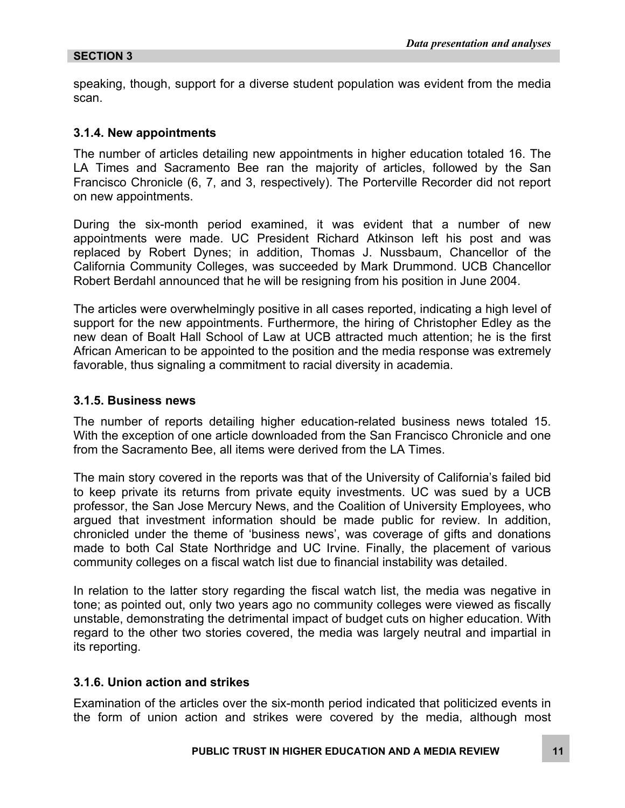speaking, though, support for a diverse student population was evident from the media scan.

#### **3.1.4. New appointments**

The number of articles detailing new appointments in higher education totaled 16. The LA Times and Sacramento Bee ran the majority of articles, followed by the San Francisco Chronicle (6, 7, and 3, respectively). The Porterville Recorder did not report on new appointments.

During the six-month period examined, it was evident that a number of new appointments were made. UC President Richard Atkinson left his post and was replaced by Robert Dynes; in addition, Thomas J. Nussbaum, Chancellor of the California Community Colleges, was succeeded by Mark Drummond. UCB Chancellor Robert Berdahl announced that he will be resigning from his position in June 2004.

The articles were overwhelmingly positive in all cases reported, indicating a high level of support for the new appointments. Furthermore, the hiring of Christopher Edley as the new dean of Boalt Hall School of Law at UCB attracted much attention; he is the first African American to be appointed to the position and the media response was extremely favorable, thus signaling a commitment to racial diversity in academia.

#### **3.1.5. Business news**

The number of reports detailing higher education-related business news totaled 15. With the exception of one article downloaded from the San Francisco Chronicle and one from the Sacramento Bee, all items were derived from the LA Times.

The main story covered in the reports was that of the University of California's failed bid to keep private its returns from private equity investments. UC was sued by a UCB professor, the San Jose Mercury News, and the Coalition of University Employees, who argued that investment information should be made public for review. In addition, chronicled under the theme of 'business news', was coverage of gifts and donations made to both Cal State Northridge and UC Irvine. Finally, the placement of various community colleges on a fiscal watch list due to financial instability was detailed.

In relation to the latter story regarding the fiscal watch list, the media was negative in tone; as pointed out, only two years ago no community colleges were viewed as fiscally unstable, demonstrating the detrimental impact of budget cuts on higher education. With regard to the other two stories covered, the media was largely neutral and impartial in its reporting.

#### **3.1.6. Union action and strikes**

Examination of the articles over the six-month period indicated that politicized events in the form of union action and strikes were covered by the media, although most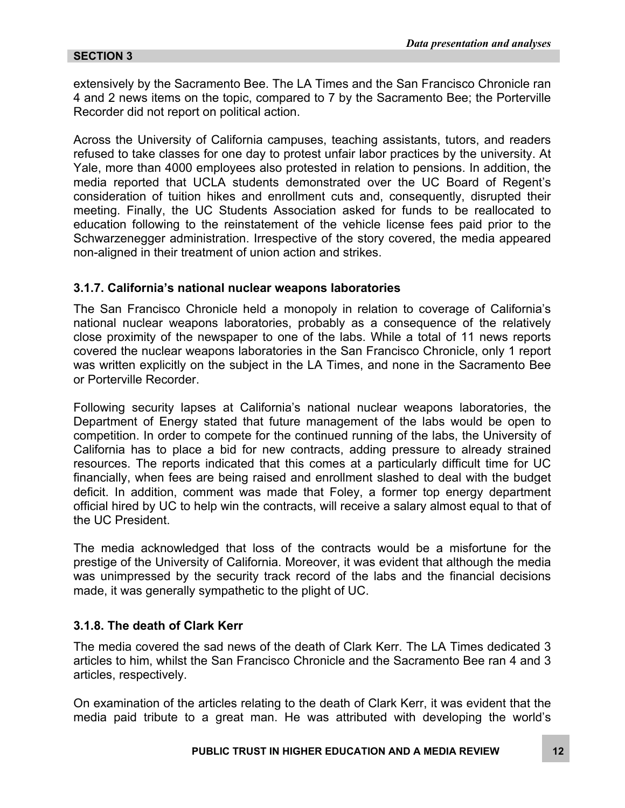extensively by the Sacramento Bee. The LA Times and the San Francisco Chronicle ran 4 and 2 news items on the topic, compared to 7 by the Sacramento Bee; the Porterville Recorder did not report on political action.

Across the University of California campuses, teaching assistants, tutors, and readers refused to take classes for one day to protest unfair labor practices by the university. At Yale, more than 4000 employees also protested in relation to pensions. In addition, the media reported that UCLA students demonstrated over the UC Board of Regent's consideration of tuition hikes and enrollment cuts and, consequently, disrupted their meeting. Finally, the UC Students Association asked for funds to be reallocated to education following to the reinstatement of the vehicle license fees paid prior to the Schwarzenegger administration. Irrespective of the story covered, the media appeared non-aligned in their treatment of union action and strikes.

#### **3.1.7. California's national nuclear weapons laboratories**

The San Francisco Chronicle held a monopoly in relation to coverage of California's national nuclear weapons laboratories, probably as a consequence of the relatively close proximity of the newspaper to one of the labs. While a total of 11 news reports covered the nuclear weapons laboratories in the San Francisco Chronicle, only 1 report was written explicitly on the subject in the LA Times, and none in the Sacramento Bee or Porterville Recorder.

Following security lapses at California's national nuclear weapons laboratories, the Department of Energy stated that future management of the labs would be open to competition. In order to compete for the continued running of the labs, the University of California has to place a bid for new contracts, adding pressure to already strained resources. The reports indicated that this comes at a particularly difficult time for UC financially, when fees are being raised and enrollment slashed to deal with the budget deficit. In addition, comment was made that Foley, a former top energy department official hired by UC to help win the contracts, will receive a salary almost equal to that of the UC President.

The media acknowledged that loss of the contracts would be a misfortune for the prestige of the University of California. Moreover, it was evident that although the media was unimpressed by the security track record of the labs and the financial decisions made, it was generally sympathetic to the plight of UC.

#### **3.1.8. The death of Clark Kerr**

The media covered the sad news of the death of Clark Kerr. The LA Times dedicated 3 articles to him, whilst the San Francisco Chronicle and the Sacramento Bee ran 4 and 3 articles, respectively.

On examination of the articles relating to the death of Clark Kerr, it was evident that the media paid tribute to a great man. He was attributed with developing the world's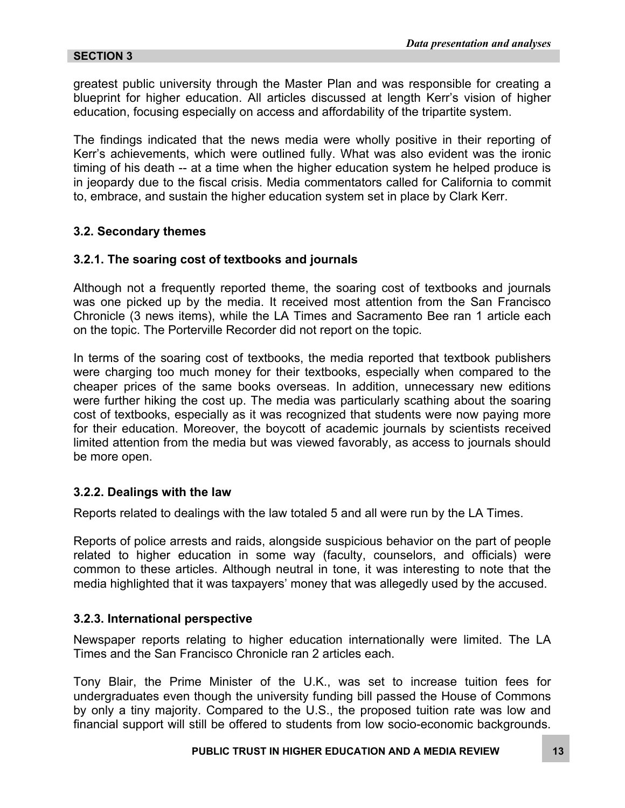greatest public university through the Master Plan and was responsible for creating a blueprint for higher education. All articles discussed at length Kerr's vision of higher education, focusing especially on access and affordability of the tripartite system.

The findings indicated that the news media were wholly positive in their reporting of Kerr's achievements, which were outlined fully. What was also evident was the ironic timing of his death -- at a time when the higher education system he helped produce is in jeopardy due to the fiscal crisis. Media commentators called for California to commit to, embrace, and sustain the higher education system set in place by Clark Kerr.

#### **3.2. Secondary themes**

#### **3.2.1. The soaring cost of textbooks and journals**

Although not a frequently reported theme, the soaring cost of textbooks and journals was one picked up by the media. It received most attention from the San Francisco Chronicle (3 news items), while the LA Times and Sacramento Bee ran 1 article each on the topic. The Porterville Recorder did not report on the topic.

In terms of the soaring cost of textbooks, the media reported that textbook publishers were charging too much money for their textbooks, especially when compared to the cheaper prices of the same books overseas. In addition, unnecessary new editions were further hiking the cost up. The media was particularly scathing about the soaring cost of textbooks, especially as it was recognized that students were now paying more for their education. Moreover, the boycott of academic journals by scientists received limited attention from the media but was viewed favorably, as access to journals should be more open.

#### **3.2.2. Dealings with the law**

Reports related to dealings with the law totaled 5 and all were run by the LA Times.

Reports of police arrests and raids, alongside suspicious behavior on the part of people related to higher education in some way (faculty, counselors, and officials) were common to these articles. Although neutral in tone, it was interesting to note that the media highlighted that it was taxpayers' money that was allegedly used by the accused.

#### **3.2.3. International perspective**

Newspaper reports relating to higher education internationally were limited. The LA Times and the San Francisco Chronicle ran 2 articles each.

Tony Blair, the Prime Minister of the U.K., was set to increase tuition fees for undergraduates even though the university funding bill passed the House of Commons by only a tiny majority. Compared to the U.S., the proposed tuition rate was low and financial support will still be offered to students from low socio-economic backgrounds.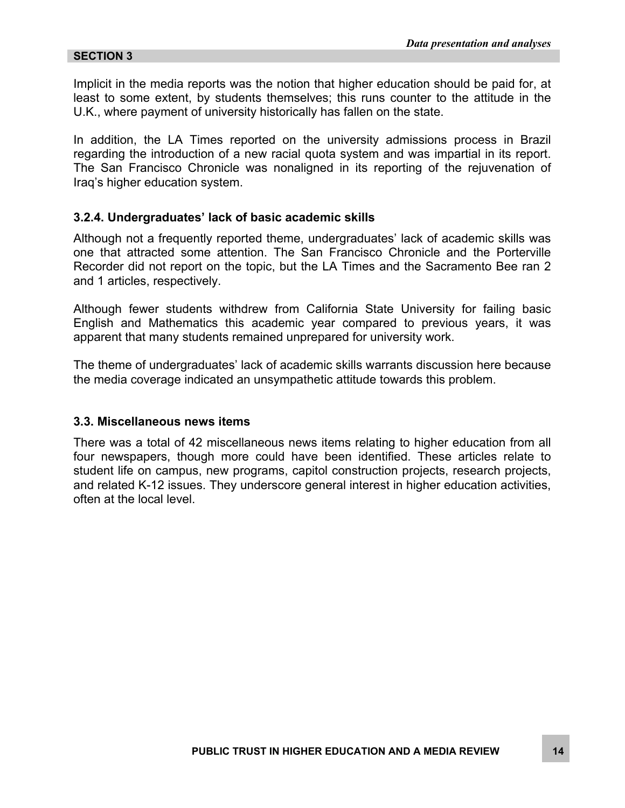Implicit in the media reports was the notion that higher education should be paid for, at least to some extent, by students themselves; this runs counter to the attitude in the U.K., where payment of university historically has fallen on the state.

In addition, the LA Times reported on the university admissions process in Brazil regarding the introduction of a new racial quota system and was impartial in its report. The San Francisco Chronicle was nonaligned in its reporting of the rejuvenation of Iraq's higher education system.

#### **3.2.4. Undergraduates' lack of basic academic skills**

Although not a frequently reported theme, undergraduates' lack of academic skills was one that attracted some attention. The San Francisco Chronicle and the Porterville Recorder did not report on the topic, but the LA Times and the Sacramento Bee ran 2 and 1 articles, respectively.

Although fewer students withdrew from California State University for failing basic English and Mathematics this academic year compared to previous years, it was apparent that many students remained unprepared for university work.

The theme of undergraduates' lack of academic skills warrants discussion here because the media coverage indicated an unsympathetic attitude towards this problem.

#### **3.3. Miscellaneous news items**

There was a total of 42 miscellaneous news items relating to higher education from all four newspapers, though more could have been identified. These articles relate to student life on campus, new programs, capitol construction projects, research projects, and related K-12 issues. They underscore general interest in higher education activities, often at the local level.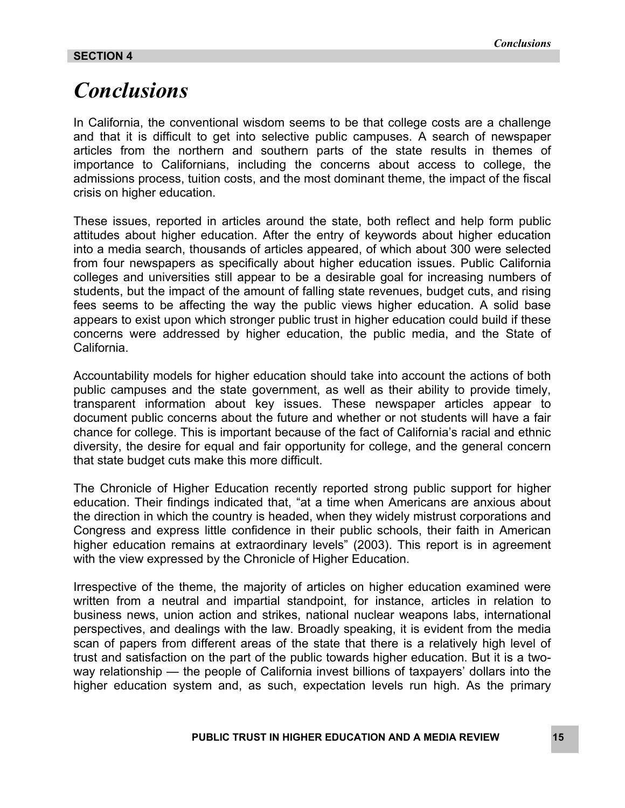### *Conclusions*

In California, the conventional wisdom seems to be that college costs are a challenge and that it is difficult to get into selective public campuses. A search of newspaper articles from the northern and southern parts of the state results in themes of importance to Californians, including the concerns about access to college, the admissions process, tuition costs, and the most dominant theme, the impact of the fiscal crisis on higher education.

These issues, reported in articles around the state, both reflect and help form public attitudes about higher education. After the entry of keywords about higher education into a media search, thousands of articles appeared, of which about 300 were selected from four newspapers as specifically about higher education issues. Public California colleges and universities still appear to be a desirable goal for increasing numbers of students, but the impact of the amount of falling state revenues, budget cuts, and rising fees seems to be affecting the way the public views higher education. A solid base appears to exist upon which stronger public trust in higher education could build if these concerns were addressed by higher education, the public media, and the State of California.

Accountability models for higher education should take into account the actions of both public campuses and the state government, as well as their ability to provide timely, transparent information about key issues. These newspaper articles appear to document public concerns about the future and whether or not students will have a fair chance for college. This is important because of the fact of California's racial and ethnic diversity, the desire for equal and fair opportunity for college, and the general concern that state budget cuts make this more difficult.

The Chronicle of Higher Education recently reported strong public support for higher education. Their findings indicated that, "at a time when Americans are anxious about the direction in which the country is headed, when they widely mistrust corporations and Congress and express little confidence in their public schools, their faith in American higher education remains at extraordinary levels" (2003). This report is in agreement with the view expressed by the Chronicle of Higher Education.

Irrespective of the theme, the majority of articles on higher education examined were written from a neutral and impartial standpoint, for instance, articles in relation to business news, union action and strikes, national nuclear weapons labs, international perspectives, and dealings with the law. Broadly speaking, it is evident from the media scan of papers from different areas of the state that there is a relatively high level of trust and satisfaction on the part of the public towards higher education. But it is a twoway relationship — the people of California invest billions of taxpayers' dollars into the higher education system and, as such, expectation levels run high. As the primary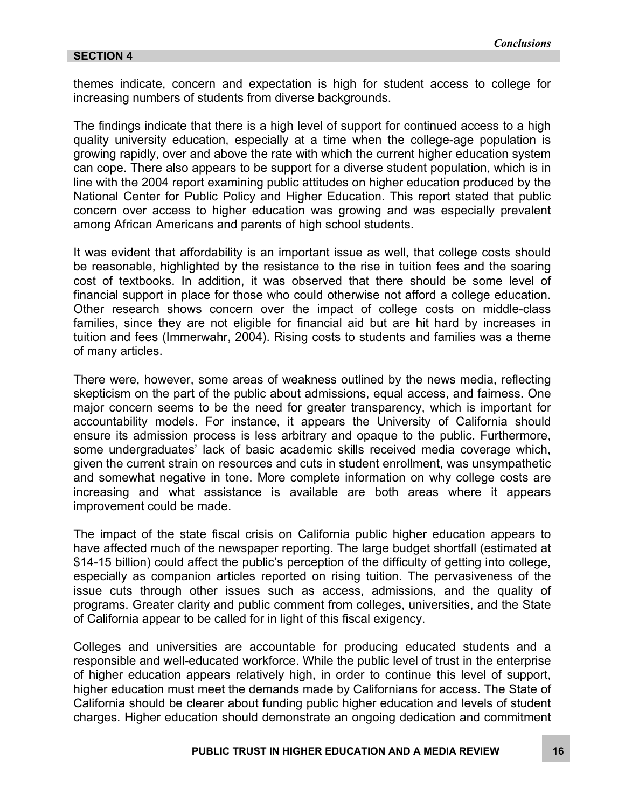themes indicate, concern and expectation is high for student access to college for increasing numbers of students from diverse backgrounds.

The findings indicate that there is a high level of support for continued access to a high quality university education, especially at a time when the college-age population is growing rapidly, over and above the rate with which the current higher education system can cope. There also appears to be support for a diverse student population, which is in line with the 2004 report examining public attitudes on higher education produced by the National Center for Public Policy and Higher Education. This report stated that public concern over access to higher education was growing and was especially prevalent among African Americans and parents of high school students.

It was evident that affordability is an important issue as well, that college costs should be reasonable, highlighted by the resistance to the rise in tuition fees and the soaring cost of textbooks. In addition, it was observed that there should be some level of financial support in place for those who could otherwise not afford a college education. Other research shows concern over the impact of college costs on middle-class families, since they are not eligible for financial aid but are hit hard by increases in tuition and fees (Immerwahr, 2004). Rising costs to students and families was a theme of many articles.

There were, however, some areas of weakness outlined by the news media, reflecting skepticism on the part of the public about admissions, equal access, and fairness. One major concern seems to be the need for greater transparency, which is important for accountability models. For instance, it appears the University of California should ensure its admission process is less arbitrary and opaque to the public. Furthermore, some undergraduates' lack of basic academic skills received media coverage which, given the current strain on resources and cuts in student enrollment, was unsympathetic and somewhat negative in tone. More complete information on why college costs are increasing and what assistance is available are both areas where it appears improvement could be made.

The impact of the state fiscal crisis on California public higher education appears to have affected much of the newspaper reporting. The large budget shortfall (estimated at \$14-15 billion) could affect the public's perception of the difficulty of getting into college, especially as companion articles reported on rising tuition. The pervasiveness of the issue cuts through other issues such as access, admissions, and the quality of programs. Greater clarity and public comment from colleges, universities, and the State of California appear to be called for in light of this fiscal exigency.

Colleges and universities are accountable for producing educated students and a responsible and well-educated workforce. While the public level of trust in the enterprise of higher education appears relatively high, in order to continue this level of support, higher education must meet the demands made by Californians for access. The State of California should be clearer about funding public higher education and levels of student charges. Higher education should demonstrate an ongoing dedication and commitment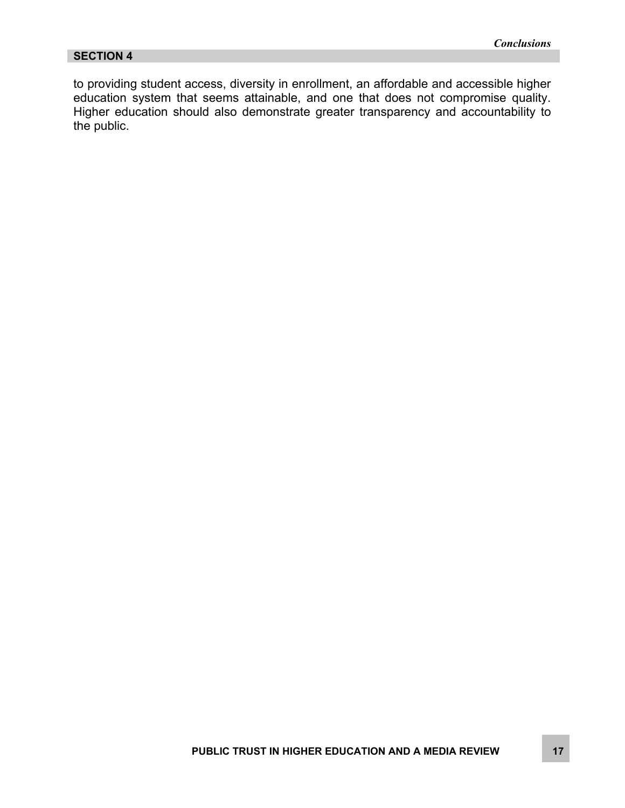to providing student access, diversity in enrollment, an affordable and accessible higher education system that seems attainable, and one that does not compromise quality. Higher education should also demonstrate greater transparency and accountability to the public.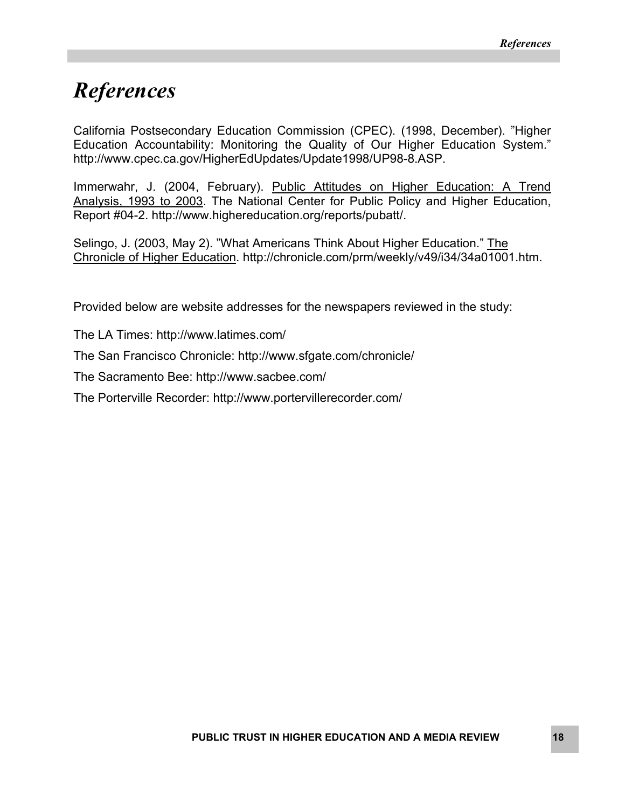### *References*

California Postsecondary Education Commission (CPEC). (1998, December). "Higher Education Accountability: Monitoring the Quality of Our Higher Education System." <http://www.cpec.ca.gov/HigherEdUpdates/Update1998/UP98-8.ASP>.

Immerwahr, J. (2004, February). Public Attitudes on Higher Education: A Trend Analysis, 1993 to 2003. The National Center for Public Policy and Higher Education, Report #04-2. http://www.highereducation.org/reports/pubatt/.

Selingo, J. (2003, May 2). "What Americans Think About Higher Education." The Chronicle of Higher Education. <http://chronicle.com/prm/weekly/v49/i34/34a01001.htm>.

Provided below are website addresses for the newspapers reviewed in the study:

The LA Times: http://www.latimes.com/

The San Francisco Chronicle: http://www.sfgate.com/chronicle/

The Sacramento Bee: http://www.sacbee.com/

The Porterville Recorder: <http://www.portervillerecorder.com/>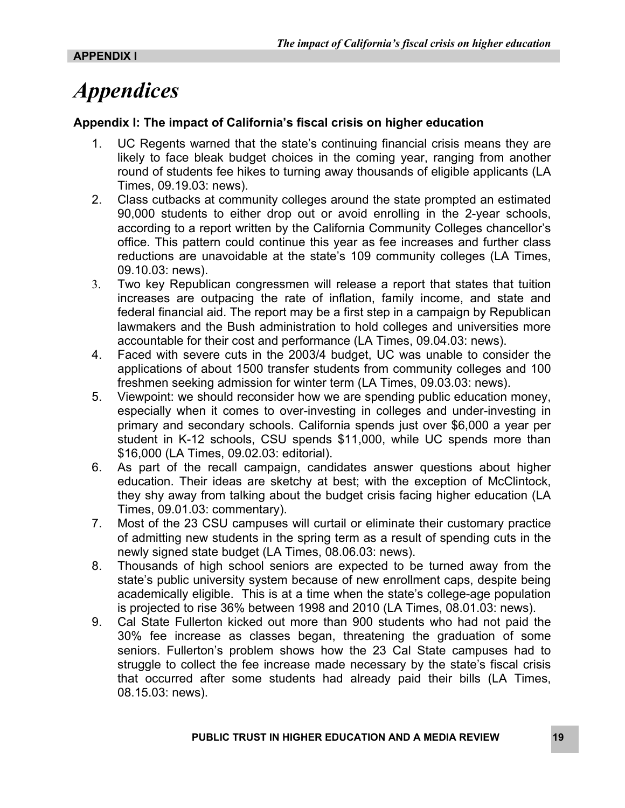## *Appendices*

#### **Appendix I: The impact of California's fiscal crisis on higher education**

- 1. UC Regents warned that the state's continuing financial crisis means they are likely to face bleak budget choices in the coming year, ranging from another round of students fee hikes to turning away thousands of eligible applicants (LA Times, 09.19.03: news).
- 2. Class cutbacks at community colleges around the state prompted an estimated 90,000 students to either drop out or avoid enrolling in the 2-year schools, according to a report written by the California Community Colleges chancellor's office. This pattern could continue this year as fee increases and further class reductions are unavoidable at the state's 109 community colleges (LA Times, 09.10.03: news).
- 3. Two key Republican congressmen will release a report that states that tuition increases are outpacing the rate of inflation, family income, and state and federal financial aid. The report may be a first step in a campaign by Republican lawmakers and the Bush administration to hold colleges and universities more accountable for their cost and performance (LA Times, 09.04.03: news).
- 4. Faced with severe cuts in the 2003/4 budget, UC was unable to consider the applications of about 1500 transfer students from community colleges and 100 freshmen seeking admission for winter term (LA Times, 09.03.03: news).
- 5. Viewpoint: we should reconsider how we are spending public education money, especially when it comes to over-investing in colleges and under-investing in primary and secondary schools. California spends just over \$6,000 a year per student in K-12 schools, CSU spends \$11,000, while UC spends more than \$16,000 (LA Times, 09.02.03: editorial).
- 6. As part of the recall campaign, candidates answer questions about higher education. Their ideas are sketchy at best; with the exception of McClintock, they shy away from talking about the budget crisis facing higher education (LA Times, 09.01.03: commentary).
- 7. Most of the 23 CSU campuses will curtail or eliminate their customary practice of admitting new students in the spring term as a result of spending cuts in the newly signed state budget (LA Times, 08.06.03: news).
- 8. Thousands of high school seniors are expected to be turned away from the state's public university system because of new enrollment caps, despite being academically eligible. This is at a time when the state's college-age population is projected to rise 36% between 1998 and 2010 (LA Times, 08.01.03: news).
- 9. Cal State Fullerton kicked out more than 900 students who had not paid the 30% fee increase as classes began, threatening the graduation of some seniors. Fullerton's problem shows how the 23 Cal State campuses had to struggle to collect the fee increase made necessary by the state's fiscal crisis that occurred after some students had already paid their bills (LA Times, 08.15.03: news).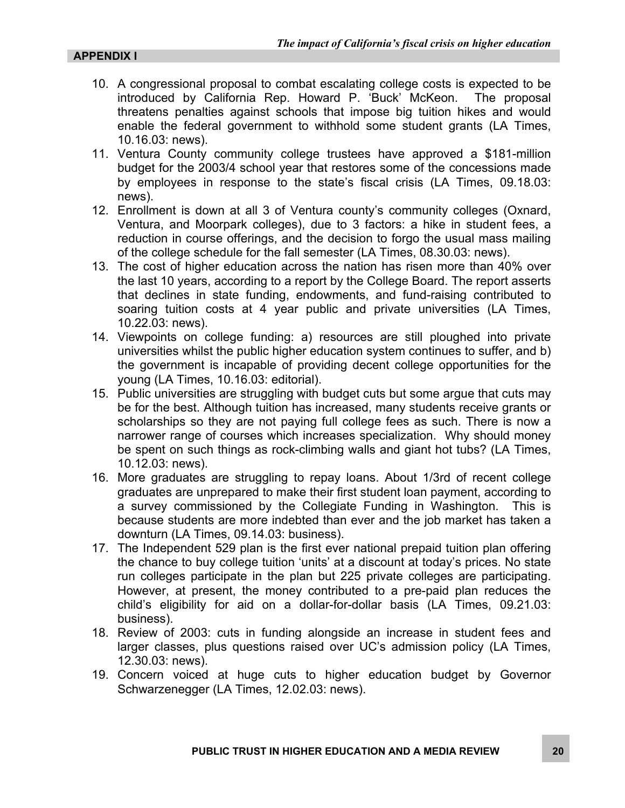- 10. A congressional proposal to combat escalating college costs is expected to be introduced by California Rep. Howard P. 'Buck' McKeon. The proposal threatens penalties against schools that impose big tuition hikes and would enable the federal government to withhold some student grants (LA Times, 10.16.03: news).
- 11. Ventura County community college trustees have approved a \$181-million budget for the 2003/4 school year that restores some of the concessions made by employees in response to the state's fiscal crisis (LA Times, 09.18.03: news).
- 12. Enrollment is down at all 3 of Ventura county's community colleges (Oxnard, Ventura, and Moorpark colleges), due to 3 factors: a hike in student fees, a reduction in course offerings, and the decision to forgo the usual mass mailing of the college schedule for the fall semester (LA Times, 08.30.03: news).
- 13. The cost of higher education across the nation has risen more than 40% over the last 10 years, according to a report by the College Board. The report asserts that declines in state funding, endowments, and fund-raising contributed to soaring tuition costs at 4 year public and private universities (LA Times, 10.22.03: news).
- 14. Viewpoints on college funding: a) resources are still ploughed into private universities whilst the public higher education system continues to suffer, and b) the government is incapable of providing decent college opportunities for the young (LA Times, 10.16.03: editorial).
- 15. Public universities are struggling with budget cuts but some argue that cuts may be for the best. Although tuition has increased, many students receive grants or scholarships so they are not paying full college fees as such. There is now a narrower range of courses which increases specialization. Why should money be spent on such things as rock-climbing walls and giant hot tubs? (LA Times, 10.12.03: news).
- 16. More graduates are struggling to repay loans. About 1/3rd of recent college graduates are unprepared to make their first student loan payment, according to a survey commissioned by the Collegiate Funding in Washington. This is because students are more indebted than ever and the job market has taken a downturn (LA Times, 09.14.03: business).
- 17. The Independent 529 plan is the first ever national prepaid tuition plan offering the chance to buy college tuition 'units' at a discount at today's prices. No state run colleges participate in the plan but 225 private colleges are participating. However, at present, the money contributed to a pre-paid plan reduces the child's eligibility for aid on a dollar-for-dollar basis (LA Times, 09.21.03: business).
- 18. Review of 2003: cuts in funding alongside an increase in student fees and larger classes, plus questions raised over UC's admission policy (LA Times, 12.30.03: news).
- 19. Concern voiced at huge cuts to higher education budget by Governor Schwarzenegger (LA Times, 12.02.03: news).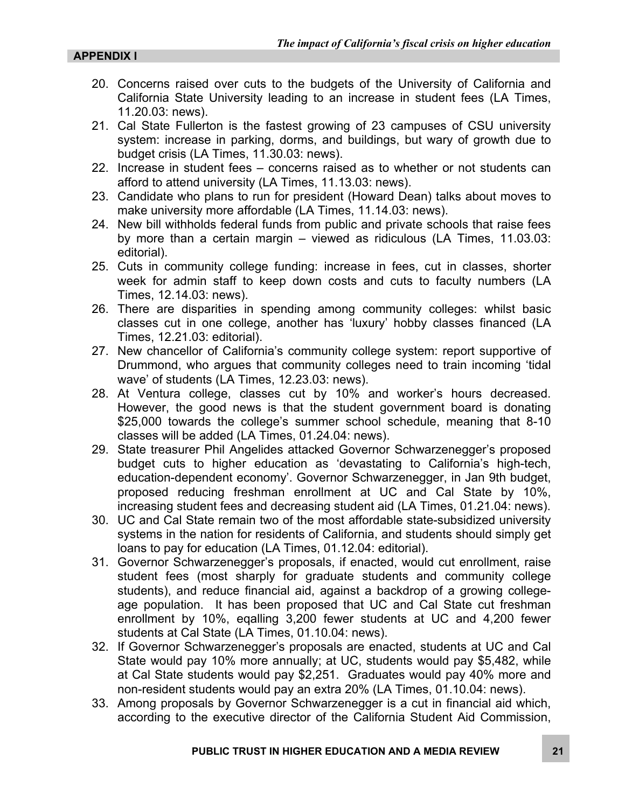- 20. Concerns raised over cuts to the budgets of the University of California and California State University leading to an increase in student fees (LA Times, 11.20.03: news).
- 21. Cal State Fullerton is the fastest growing of 23 campuses of CSU university system: increase in parking, dorms, and buildings, but wary of growth due to budget crisis (LA Times, 11.30.03: news).
- 22. Increase in student fees concerns raised as to whether or not students can afford to attend university (LA Times, 11.13.03: news).
- 23. Candidate who plans to run for president (Howard Dean) talks about moves to make university more affordable (LA Times, 11.14.03: news).
- 24. New bill withholds federal funds from public and private schools that raise fees by more than a certain margin – viewed as ridiculous (LA Times, 11.03.03: editorial).
- 25. Cuts in community college funding: increase in fees, cut in classes, shorter week for admin staff to keep down costs and cuts to faculty numbers (LA Times, 12.14.03: news).
- 26. There are disparities in spending among community colleges: whilst basic classes cut in one college, another has 'luxury' hobby classes financed (LA Times, 12.21.03: editorial).
- 27. New chancellor of California's community college system: report supportive of Drummond, who argues that community colleges need to train incoming 'tidal wave' of students (LA Times, 12.23.03: news).
- 28. At Ventura college, classes cut by 10% and worker's hours decreased. However, the good news is that the student government board is donating \$25,000 towards the college's summer school schedule, meaning that 8-10 classes will be added (LA Times, 01.24.04: news).
- 29. State treasurer Phil Angelides attacked Governor Schwarzenegger's proposed budget cuts to higher education as 'devastating to California's high-tech, education-dependent economy'. Governor Schwarzenegger, in Jan 9th budget, proposed reducing freshman enrollment at UC and Cal State by 10%, increasing student fees and decreasing student aid (LA Times, 01.21.04: news).
- 30. UC and Cal State remain two of the most affordable state-subsidized university systems in the nation for residents of California, and students should simply get loans to pay for education (LA Times, 01.12.04: editorial).
- 31. Governor Schwarzenegger's proposals, if enacted, would cut enrollment, raise student fees (most sharply for graduate students and community college students), and reduce financial aid, against a backdrop of a growing collegeage population. It has been proposed that UC and Cal State cut freshman enrollment by 10%, eqalling 3,200 fewer students at UC and 4,200 fewer students at Cal State (LA Times, 01.10.04: news).
- 32. If Governor Schwarzenegger's proposals are enacted, students at UC and Cal State would pay 10% more annually; at UC, students would pay \$5,482, while at Cal State students would pay \$2,251. Graduates would pay 40% more and non-resident students would pay an extra 20% (LA Times, 01.10.04: news).
- 33. Among proposals by Governor Schwarzenegger is a cut in financial aid which, according to the executive director of the California Student Aid Commission,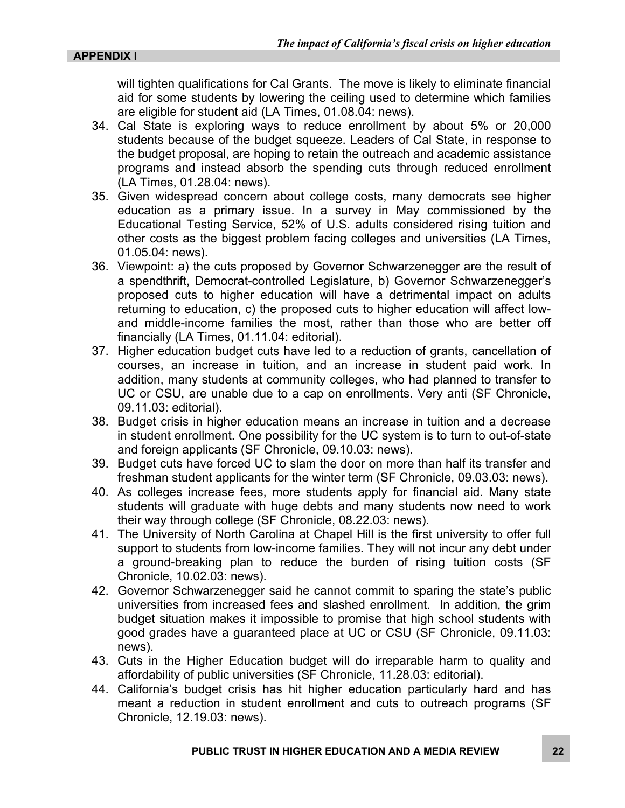will tighten qualifications for Cal Grants. The move is likely to eliminate financial aid for some students by lowering the ceiling used to determine which families are eligible for student aid (LA Times, 01.08.04: news).

- 34. Cal State is exploring ways to reduce enrollment by about 5% or 20,000 students because of the budget squeeze. Leaders of Cal State, in response to the budget proposal, are hoping to retain the outreach and academic assistance programs and instead absorb the spending cuts through reduced enrollment (LA Times, 01.28.04: news).
- 35. Given widespread concern about college costs, many democrats see higher education as a primary issue. In a survey in May commissioned by the Educational Testing Service, 52% of U.S. adults considered rising tuition and other costs as the biggest problem facing colleges and universities (LA Times, 01.05.04: news).
- 36. Viewpoint: a) the cuts proposed by Governor Schwarzenegger are the result of a spendthrift, Democrat-controlled Legislature, b) Governor Schwarzenegger's proposed cuts to higher education will have a detrimental impact on adults returning to education, c) the proposed cuts to higher education will affect lowand middle-income families the most, rather than those who are better off financially (LA Times, 01.11.04: editorial).
- 37. Higher education budget cuts have led to a reduction of grants, cancellation of courses, an increase in tuition, and an increase in student paid work. In addition, many students at community colleges, who had planned to transfer to UC or CSU, are unable due to a cap on enrollments. Very anti (SF Chronicle, 09.11.03: editorial).
- 38. Budget crisis in higher education means an increase in tuition and a decrease in student enrollment. One possibility for the UC system is to turn to out-of-state and foreign applicants (SF Chronicle, 09.10.03: news).
- 39. Budget cuts have forced UC to slam the door on more than half its transfer and freshman student applicants for the winter term (SF Chronicle, 09.03.03: news).
- 40. As colleges increase fees, more students apply for financial aid. Many state students will graduate with huge debts and many students now need to work their way through college (SF Chronicle, 08.22.03: news).
- 41. The University of North Carolina at Chapel Hill is the first university to offer full support to students from low-income families. They will not incur any debt under a ground-breaking plan to reduce the burden of rising tuition costs (SF Chronicle, 10.02.03: news).
- 42. Governor Schwarzenegger said he cannot commit to sparing the state's public universities from increased fees and slashed enrollment. In addition, the grim budget situation makes it impossible to promise that high school students with good grades have a guaranteed place at UC or CSU (SF Chronicle, 09.11.03: news).
- 43. Cuts in the Higher Education budget will do irreparable harm to quality and affordability of public universities (SF Chronicle, 11.28.03: editorial).
- 44. California's budget crisis has hit higher education particularly hard and has meant a reduction in student enrollment and cuts to outreach programs (SF Chronicle, 12.19.03: news).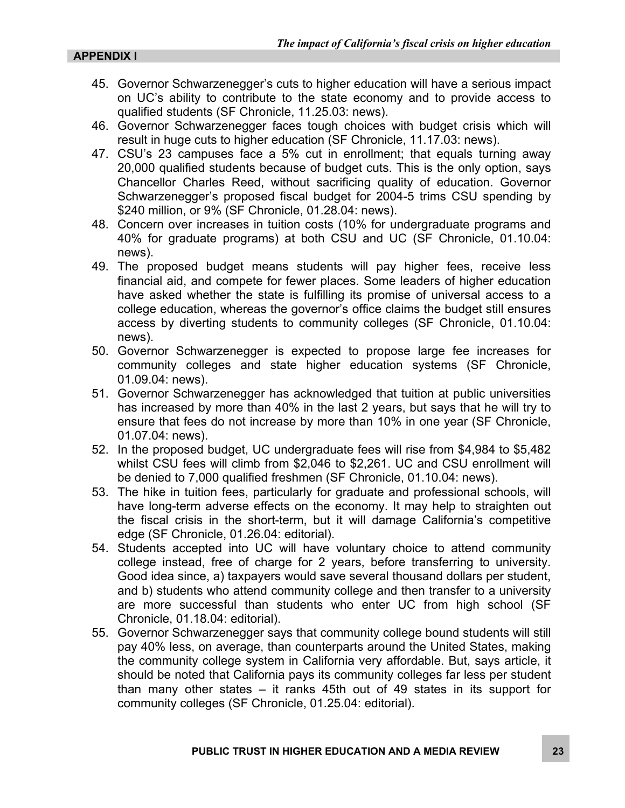- 45. Governor Schwarzenegger's cuts to higher education will have a serious impact on UC's ability to contribute to the state economy and to provide access to qualified students (SF Chronicle, 11.25.03: news).
- 46. Governor Schwarzenegger faces tough choices with budget crisis which will result in huge cuts to higher education (SF Chronicle, 11.17.03: news).
- 47. CSU's 23 campuses face a 5% cut in enrollment; that equals turning away 20,000 qualified students because of budget cuts. This is the only option, says Chancellor Charles Reed, without sacrificing quality of education. Governor Schwarzenegger's proposed fiscal budget for 2004-5 trims CSU spending by \$240 million, or 9% (SF Chronicle, 01.28.04: news).
- 48. Concern over increases in tuition costs (10% for undergraduate programs and 40% for graduate programs) at both CSU and UC (SF Chronicle, 01.10.04: news).
- 49. The proposed budget means students will pay higher fees, receive less financial aid, and compete for fewer places. Some leaders of higher education have asked whether the state is fulfilling its promise of universal access to a college education, whereas the governor's office claims the budget still ensures access by diverting students to community colleges (SF Chronicle, 01.10.04: news).
- 50. Governor Schwarzenegger is expected to propose large fee increases for community colleges and state higher education systems (SF Chronicle, 01.09.04: news).
- 51. Governor Schwarzenegger has acknowledged that tuition at public universities has increased by more than 40% in the last 2 years, but says that he will try to ensure that fees do not increase by more than 10% in one year (SF Chronicle, 01.07.04: news).
- 52. In the proposed budget, UC undergraduate fees will rise from \$4,984 to \$5,482 whilst CSU fees will climb from \$2,046 to \$2,261. UC and CSU enrollment will be denied to 7,000 qualified freshmen (SF Chronicle, 01.10.04: news).
- 53. The hike in tuition fees, particularly for graduate and professional schools, will have long-term adverse effects on the economy. It may help to straighten out the fiscal crisis in the short-term, but it will damage California's competitive edge (SF Chronicle, 01.26.04: editorial).
- 54. Students accepted into UC will have voluntary choice to attend community college instead, free of charge for 2 years, before transferring to university. Good idea since, a) taxpayers would save several thousand dollars per student, and b) students who attend community college and then transfer to a university are more successful than students who enter UC from high school (SF Chronicle, 01.18.04: editorial).
- 55. Governor Schwarzenegger says that community college bound students will still pay 40% less, on average, than counterparts around the United States, making the community college system in California very affordable. But, says article, it should be noted that California pays its community colleges far less per student than many other states – it ranks 45th out of 49 states in its support for community colleges (SF Chronicle, 01.25.04: editorial).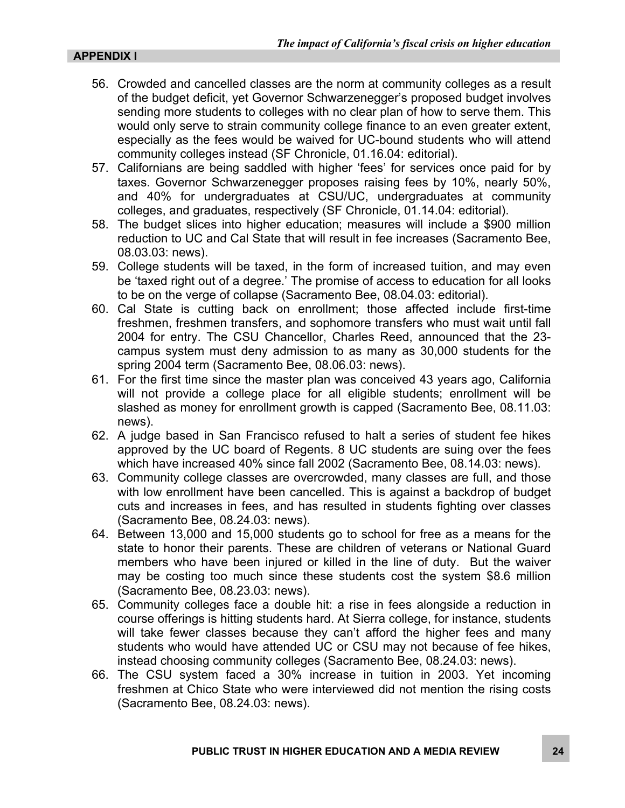#### **APPENDIX I**

- 56. Crowded and cancelled classes are the norm at community colleges as a result of the budget deficit, yet Governor Schwarzenegger's proposed budget involves sending more students to colleges with no clear plan of how to serve them. This would only serve to strain community college finance to an even greater extent, especially as the fees would be waived for UC-bound students who will attend community colleges instead (SF Chronicle, 01.16.04: editorial).
- 57. Californians are being saddled with higher 'fees' for services once paid for by taxes. Governor Schwarzenegger proposes raising fees by 10%, nearly 50%, and 40% for undergraduates at CSU/UC, undergraduates at community colleges, and graduates, respectively (SF Chronicle, 01.14.04: editorial).
- 58. The budget slices into higher education; measures will include a \$900 million reduction to UC and Cal State that will result in fee increases (Sacramento Bee, 08.03.03: news).
- 59. College students will be taxed, in the form of increased tuition, and may even be 'taxed right out of a degree.' The promise of access to education for all looks to be on the verge of collapse (Sacramento Bee, 08.04.03: editorial).
- 60. Cal State is cutting back on enrollment; those affected include first-time freshmen, freshmen transfers, and sophomore transfers who must wait until fall 2004 for entry. The CSU Chancellor, Charles Reed, announced that the 23 campus system must deny admission to as many as 30,000 students for the spring 2004 term (Sacramento Bee, 08.06.03: news).
- 61. For the first time since the master plan was conceived 43 years ago, California will not provide a college place for all eligible students; enrollment will be slashed as money for enrollment growth is capped (Sacramento Bee, 08.11.03: news).
- 62. A judge based in San Francisco refused to halt a series of student fee hikes approved by the UC board of Regents. 8 UC students are suing over the fees which have increased 40% since fall 2002 (Sacramento Bee, 08.14.03: news).
- 63. Community college classes are overcrowded, many classes are full, and those with low enrollment have been cancelled. This is against a backdrop of budget cuts and increases in fees, and has resulted in students fighting over classes (Sacramento Bee, 08.24.03: news).
- 64. Between 13,000 and 15,000 students go to school for free as a means for the state to honor their parents. These are children of veterans or National Guard members who have been injured or killed in the line of duty. But the waiver may be costing too much since these students cost the system \$8.6 million (Sacramento Bee, 08.23.03: news).
- 65. Community colleges face a double hit: a rise in fees alongside a reduction in course offerings is hitting students hard. At Sierra college, for instance, students will take fewer classes because they can't afford the higher fees and many students who would have attended UC or CSU may not because of fee hikes, instead choosing community colleges (Sacramento Bee, 08.24.03: news).
- 66. The CSU system faced a 30% increase in tuition in 2003. Yet incoming freshmen at Chico State who were interviewed did not mention the rising costs (Sacramento Bee, 08.24.03: news).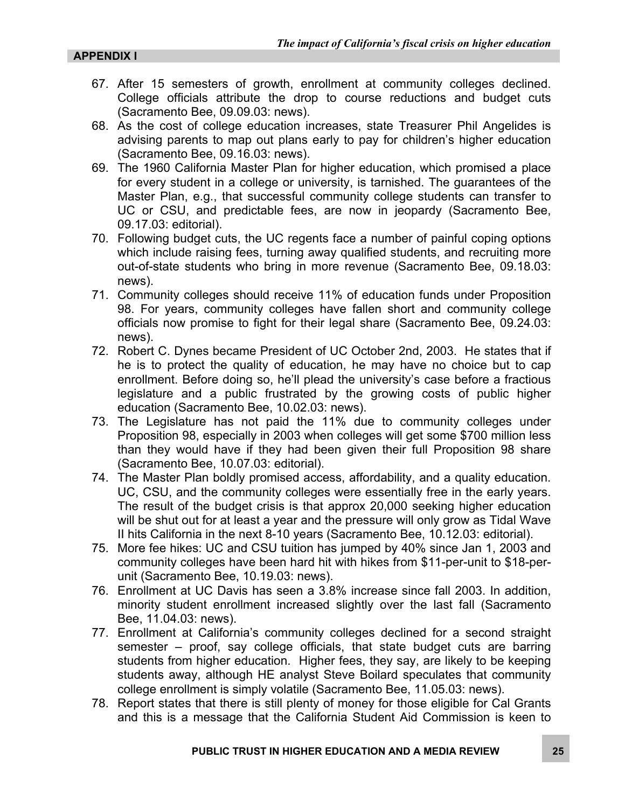- 67. After 15 semesters of growth, enrollment at community colleges declined. College officials attribute the drop to course reductions and budget cuts (Sacramento Bee, 09.09.03: news).
- 68. As the cost of college education increases, state Treasurer Phil Angelides is advising parents to map out plans early to pay for children's higher education (Sacramento Bee, 09.16.03: news).
- 69. The 1960 California Master Plan for higher education, which promised a place for every student in a college or university, is tarnished. The guarantees of the Master Plan, e.g., that successful community college students can transfer to UC or CSU, and predictable fees, are now in jeopardy (Sacramento Bee, 09.17.03: editorial).
- 70. Following budget cuts, the UC regents face a number of painful coping options which include raising fees, turning away qualified students, and recruiting more out-of-state students who bring in more revenue (Sacramento Bee, 09.18.03: news).
- 71. Community colleges should receive 11% of education funds under Proposition 98. For years, community colleges have fallen short and community college officials now promise to fight for their legal share (Sacramento Bee, 09.24.03: news).
- 72. Robert C. Dynes became President of UC October 2nd, 2003. He states that if he is to protect the quality of education, he may have no choice but to cap enrollment. Before doing so, he'll plead the university's case before a fractious legislature and a public frustrated by the growing costs of public higher education (Sacramento Bee, 10.02.03: news).
- 73. The Legislature has not paid the 11% due to community colleges under Proposition 98, especially in 2003 when colleges will get some \$700 million less than they would have if they had been given their full Proposition 98 share (Sacramento Bee, 10.07.03: editorial).
- 74. The Master Plan boldly promised access, affordability, and a quality education. UC, CSU, and the community colleges were essentially free in the early years. The result of the budget crisis is that approx 20,000 seeking higher education will be shut out for at least a year and the pressure will only grow as Tidal Wave II hits California in the next 8-10 years (Sacramento Bee, 10.12.03: editorial).
- 75. More fee hikes: UC and CSU tuition has jumped by 40% since Jan 1, 2003 and community colleges have been hard hit with hikes from \$11-per-unit to \$18-perunit (Sacramento Bee, 10.19.03: news).
- 76. Enrollment at UC Davis has seen a 3.8% increase since fall 2003. In addition, minority student enrollment increased slightly over the last fall (Sacramento Bee, 11.04.03: news).
- 77. Enrollment at California's community colleges declined for a second straight semester – proof, say college officials, that state budget cuts are barring students from higher education. Higher fees, they say, are likely to be keeping students away, although HE analyst Steve Boilard speculates that community college enrollment is simply volatile (Sacramento Bee, 11.05.03: news).
- 78. Report states that there is still plenty of money for those eligible for Cal Grants and this is a message that the California Student Aid Commission is keen to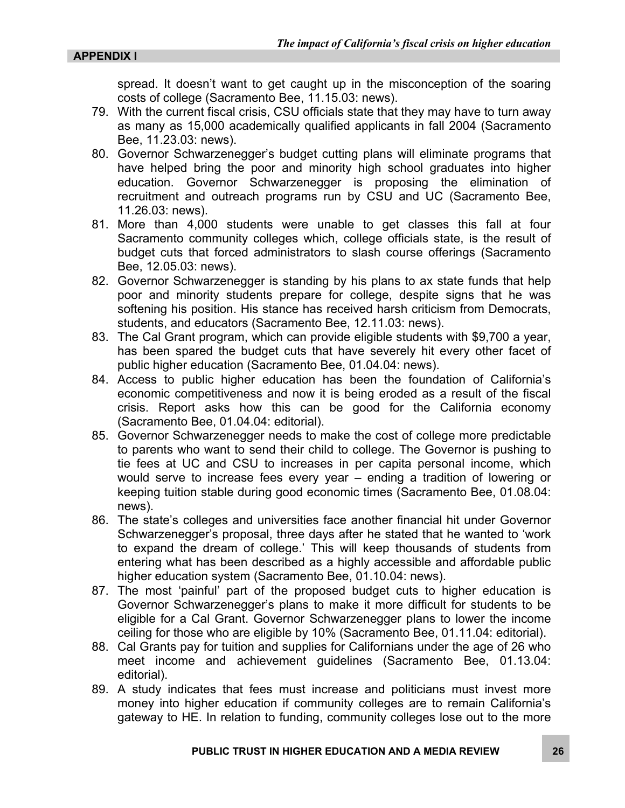spread. It doesn't want to get caught up in the misconception of the soaring costs of college (Sacramento Bee, 11.15.03: news).

- 79. With the current fiscal crisis, CSU officials state that they may have to turn away as many as 15,000 academically qualified applicants in fall 2004 (Sacramento Bee, 11.23.03: news).
- 80. Governor Schwarzenegger's budget cutting plans will eliminate programs that have helped bring the poor and minority high school graduates into higher education. Governor Schwarzenegger is proposing the elimination of recruitment and outreach programs run by CSU and UC (Sacramento Bee, 11.26.03: news).
- 81. More than 4,000 students were unable to get classes this fall at four Sacramento community colleges which, college officials state, is the result of budget cuts that forced administrators to slash course offerings (Sacramento Bee, 12.05.03: news).
- 82. Governor Schwarzenegger is standing by his plans to ax state funds that help poor and minority students prepare for college, despite signs that he was softening his position. His stance has received harsh criticism from Democrats, students, and educators (Sacramento Bee, 12.11.03: news).
- 83. The Cal Grant program, which can provide eligible students with \$9,700 a year, has been spared the budget cuts that have severely hit every other facet of public higher education (Sacramento Bee, 01.04.04: news).
- 84. Access to public higher education has been the foundation of California's economic competitiveness and now it is being eroded as a result of the fiscal crisis. Report asks how this can be good for the California economy (Sacramento Bee, 01.04.04: editorial).
- 85. Governor Schwarzenegger needs to make the cost of college more predictable to parents who want to send their child to college. The Governor is pushing to tie fees at UC and CSU to increases in per capita personal income, which would serve to increase fees every year – ending a tradition of lowering or keeping tuition stable during good economic times (Sacramento Bee, 01.08.04: news).
- 86. The state's colleges and universities face another financial hit under Governor Schwarzenegger's proposal, three days after he stated that he wanted to 'work to expand the dream of college.' This will keep thousands of students from entering what has been described as a highly accessible and affordable public higher education system (Sacramento Bee, 01.10.04: news).
- 87. The most 'painful' part of the proposed budget cuts to higher education is Governor Schwarzenegger's plans to make it more difficult for students to be eligible for a Cal Grant. Governor Schwarzenegger plans to lower the income ceiling for those who are eligible by 10% (Sacramento Bee, 01.11.04: editorial).
- 88. Cal Grants pay for tuition and supplies for Californians under the age of 26 who meet income and achievement guidelines (Sacramento Bee, 01.13.04: editorial).
- 89. A study indicates that fees must increase and politicians must invest more money into higher education if community colleges are to remain California's gateway to HE. In relation to funding, community colleges lose out to the more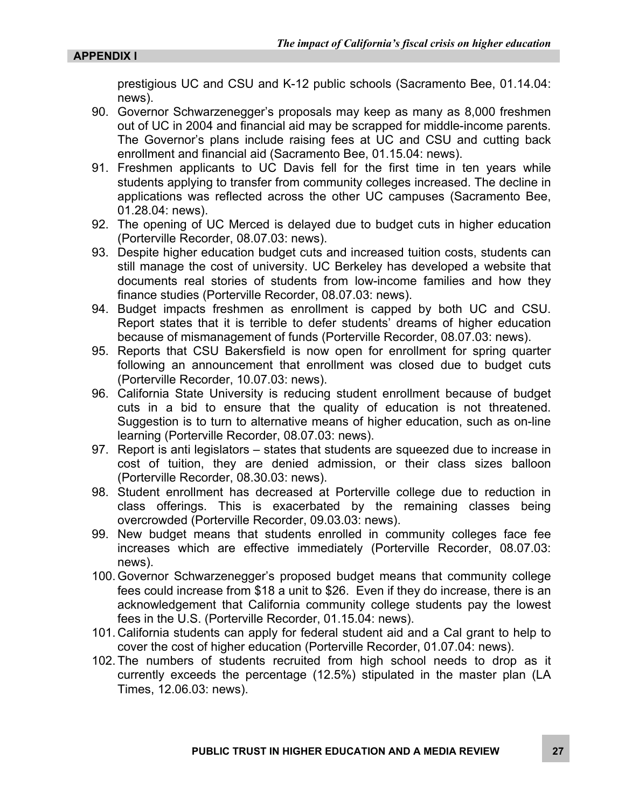prestigious UC and CSU and K-12 public schools (Sacramento Bee, 01.14.04: news).

- 90. Governor Schwarzenegger's proposals may keep as many as 8,000 freshmen out of UC in 2004 and financial aid may be scrapped for middle-income parents. The Governor's plans include raising fees at UC and CSU and cutting back enrollment and financial aid (Sacramento Bee, 01.15.04: news).
- 91. Freshmen applicants to UC Davis fell for the first time in ten years while students applying to transfer from community colleges increased. The decline in applications was reflected across the other UC campuses (Sacramento Bee, 01.28.04: news).
- 92. The opening of UC Merced is delayed due to budget cuts in higher education (Porterville Recorder, 08.07.03: news).
- 93. Despite higher education budget cuts and increased tuition costs, students can still manage the cost of university. UC Berkeley has developed a website that documents real stories of students from low-income families and how they finance studies (Porterville Recorder, 08.07.03: news).
- 94. Budget impacts freshmen as enrollment is capped by both UC and CSU. Report states that it is terrible to defer students' dreams of higher education because of mismanagement of funds (Porterville Recorder, 08.07.03: news).
- 95. Reports that CSU Bakersfield is now open for enrollment for spring quarter following an announcement that enrollment was closed due to budget cuts (Porterville Recorder, 10.07.03: news).
- 96. California State University is reducing student enrollment because of budget cuts in a bid to ensure that the quality of education is not threatened. Suggestion is to turn to alternative means of higher education, such as on-line learning (Porterville Recorder, 08.07.03: news).
- 97. Report is anti legislators states that students are squeezed due to increase in cost of tuition, they are denied admission, or their class sizes balloon (Porterville Recorder, 08.30.03: news).
- 98. Student enrollment has decreased at Porterville college due to reduction in class offerings. This is exacerbated by the remaining classes being overcrowded (Porterville Recorder, 09.03.03: news).
- 99. New budget means that students enrolled in community colleges face fee increases which are effective immediately (Porterville Recorder, 08.07.03: news).
- 100. Governor Schwarzenegger's proposed budget means that community college fees could increase from \$18 a unit to \$26. Even if they do increase, there is an acknowledgement that California community college students pay the lowest fees in the U.S. (Porterville Recorder, 01.15.04: news).
- 101. California students can apply for federal student aid and a Cal grant to help to cover the cost of higher education (Porterville Recorder, 01.07.04: news).
- 102. The numbers of students recruited from high school needs to drop as it currently exceeds the percentage (12.5%) stipulated in the master plan (LA Times, 12.06.03: news).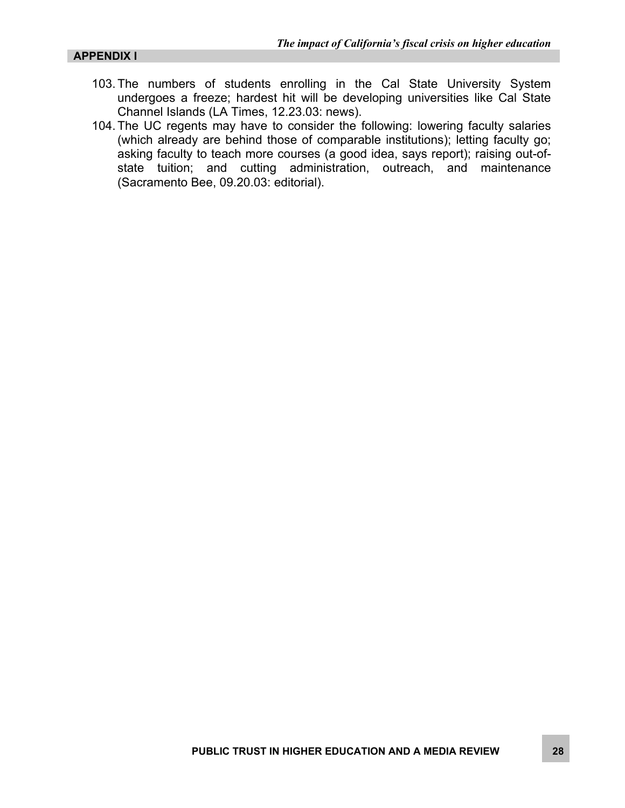- 103. The numbers of students enrolling in the Cal State University System undergoes a freeze; hardest hit will be developing universities like Cal State Channel Islands (LA Times, 12.23.03: news).
- 104. The UC regents may have to consider the following: lowering faculty salaries (which already are behind those of comparable institutions); letting faculty go; asking faculty to teach more courses (a good idea, says report); raising out-ofstate tuition; and cutting administration, outreach, and maintenance (Sacramento Bee, 09.20.03: editorial).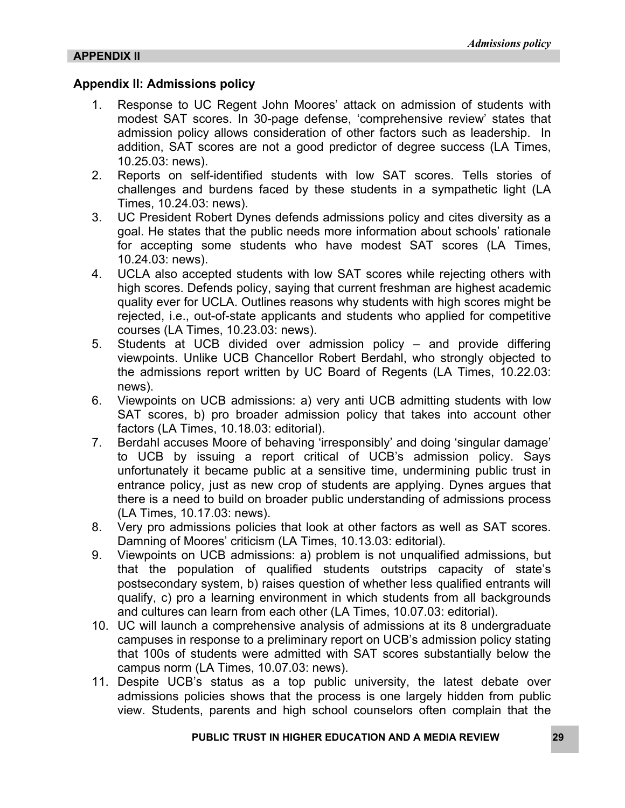#### **Appendix II: Admissions policy**

- 1. Response to UC Regent John Moores' attack on admission of students with modest SAT scores. In 30-page defense, 'comprehensive review' states that admission policy allows consideration of other factors such as leadership. In addition, SAT scores are not a good predictor of degree success (LA Times, 10.25.03: news).
- 2. Reports on self-identified students with low SAT scores. Tells stories of challenges and burdens faced by these students in a sympathetic light (LA Times, 10.24.03: news).
- 3. UC President Robert Dynes defends admissions policy and cites diversity as a goal. He states that the public needs more information about schools' rationale for accepting some students who have modest SAT scores (LA Times, 10.24.03: news).
- 4. UCLA also accepted students with low SAT scores while rejecting others with high scores. Defends policy, saying that current freshman are highest academic quality ever for UCLA. Outlines reasons why students with high scores might be rejected, i.e., out-of-state applicants and students who applied for competitive courses (LA Times, 10.23.03: news).
- 5. Students at UCB divided over admission policy and provide differing viewpoints. Unlike UCB Chancellor Robert Berdahl, who strongly objected to the admissions report written by UC Board of Regents (LA Times, 10.22.03: news).
- 6. Viewpoints on UCB admissions: a) very anti UCB admitting students with low SAT scores, b) pro broader admission policy that takes into account other factors (LA Times, 10.18.03: editorial).
- 7. Berdahl accuses Moore of behaving 'irresponsibly' and doing 'singular damage' to UCB by issuing a report critical of UCB's admission policy. Says unfortunately it became public at a sensitive time, undermining public trust in entrance policy, just as new crop of students are applying. Dynes argues that there is a need to build on broader public understanding of admissions process (LA Times, 10.17.03: news).
- 8. Very pro admissions policies that look at other factors as well as SAT scores. Damning of Moores' criticism (LA Times, 10.13.03: editorial).
- 9. Viewpoints on UCB admissions: a) problem is not unqualified admissions, but that the population of qualified students outstrips capacity of state's postsecondary system, b) raises question of whether less qualified entrants will qualify, c) pro a learning environment in which students from all backgrounds and cultures can learn from each other (LA Times, 10.07.03: editorial).
- 10. UC will launch a comprehensive analysis of admissions at its 8 undergraduate campuses in response to a preliminary report on UCB's admission policy stating that 100s of students were admitted with SAT scores substantially below the campus norm (LA Times, 10.07.03: news).
- 11. Despite UCB's status as a top public university, the latest debate over admissions policies shows that the process is one largely hidden from public view. Students, parents and high school counselors often complain that the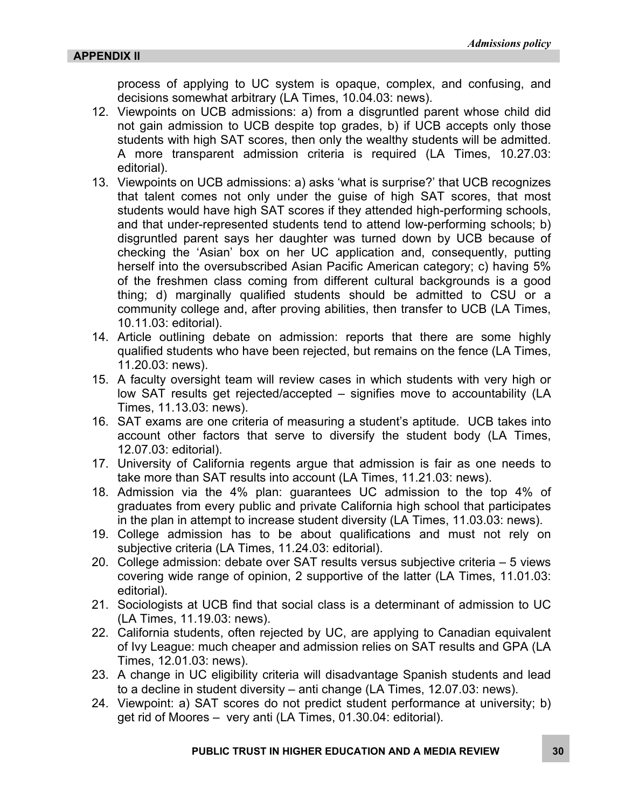process of applying to UC system is opaque, complex, and confusing, and decisions somewhat arbitrary (LA Times, 10.04.03: news).

- 12. Viewpoints on UCB admissions: a) from a disgruntled parent whose child did not gain admission to UCB despite top grades, b) if UCB accepts only those students with high SAT scores, then only the wealthy students will be admitted. A more transparent admission criteria is required (LA Times, 10.27.03: editorial).
- 13. Viewpoints on UCB admissions: a) asks 'what is surprise?' that UCB recognizes that talent comes not only under the guise of high SAT scores, that most students would have high SAT scores if they attended high-performing schools, and that under-represented students tend to attend low-performing schools; b) disgruntled parent says her daughter was turned down by UCB because of checking the 'Asian' box on her UC application and, consequently, putting herself into the oversubscribed Asian Pacific American category; c) having 5% of the freshmen class coming from different cultural backgrounds is a good thing; d) marginally qualified students should be admitted to CSU or a community college and, after proving abilities, then transfer to UCB (LA Times, 10.11.03: editorial).
- 14. Article outlining debate on admission: reports that there are some highly qualified students who have been rejected, but remains on the fence (LA Times, 11.20.03: news).
- 15. A faculty oversight team will review cases in which students with very high or low SAT results get rejected/accepted – signifies move to accountability (LA Times, 11.13.03: news).
- 16. SAT exams are one criteria of measuring a student's aptitude. UCB takes into account other factors that serve to diversify the student body (LA Times, 12.07.03: editorial).
- 17. University of California regents argue that admission is fair as one needs to take more than SAT results into account (LA Times, 11.21.03: news).
- 18. Admission via the 4% plan: guarantees UC admission to the top 4% of graduates from every public and private California high school that participates in the plan in attempt to increase student diversity (LA Times, 11.03.03: news).
- 19. College admission has to be about qualifications and must not rely on subjective criteria (LA Times, 11.24.03: editorial).
- 20. College admission: debate over SAT results versus subjective criteria 5 views covering wide range of opinion, 2 supportive of the latter (LA Times, 11.01.03: editorial).
- 21. Sociologists at UCB find that social class is a determinant of admission to UC (LA Times, 11.19.03: news).
- 22. California students, often rejected by UC, are applying to Canadian equivalent of Ivy League: much cheaper and admission relies on SAT results and GPA (LA Times, 12.01.03: news).
- 23. A change in UC eligibility criteria will disadvantage Spanish students and lead to a decline in student diversity – anti change (LA Times, 12.07.03: news).
- 24. Viewpoint: a) SAT scores do not predict student performance at university; b) get rid of Moores – very anti (LA Times, 01.30.04: editorial).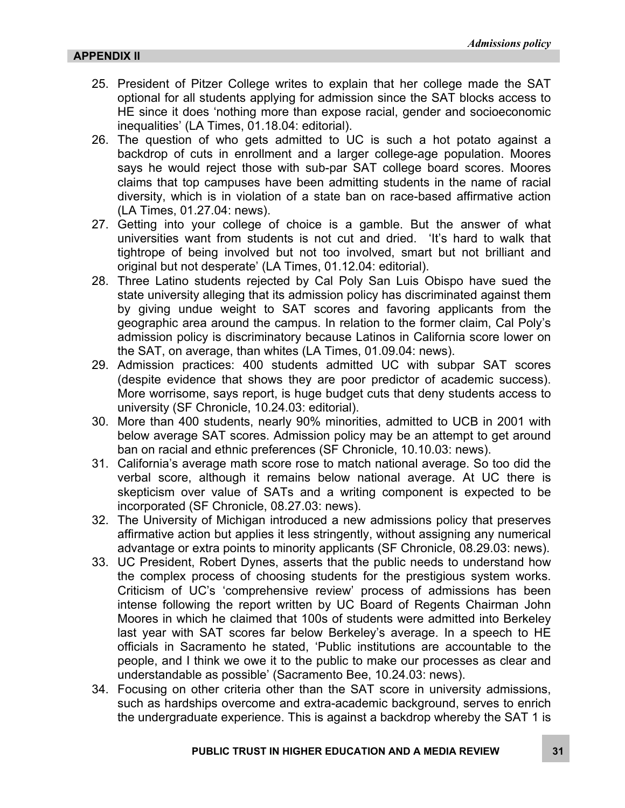- 25. President of Pitzer College writes to explain that her college made the SAT optional for all students applying for admission since the SAT blocks access to HE since it does 'nothing more than expose racial, gender and socioeconomic inequalities' (LA Times, 01.18.04: editorial).
- 26. The question of who gets admitted to UC is such a hot potato against a backdrop of cuts in enrollment and a larger college-age population. Moores says he would reject those with sub-par SAT college board scores. Moores claims that top campuses have been admitting students in the name of racial diversity, which is in violation of a state ban on race-based affirmative action (LA Times, 01.27.04: news).
- 27. Getting into your college of choice is a gamble. But the answer of what universities want from students is not cut and dried. 'It's hard to walk that tightrope of being involved but not too involved, smart but not brilliant and original but not desperate' (LA Times, 01.12.04: editorial).
- 28. Three Latino students rejected by Cal Poly San Luis Obispo have sued the state university alleging that its admission policy has discriminated against them by giving undue weight to SAT scores and favoring applicants from the geographic area around the campus. In relation to the former claim, Cal Poly's admission policy is discriminatory because Latinos in California score lower on the SAT, on average, than whites (LA Times, 01.09.04: news).
- 29. Admission practices: 400 students admitted UC with subpar SAT scores (despite evidence that shows they are poor predictor of academic success). More worrisome, says report, is huge budget cuts that deny students access to university (SF Chronicle, 10.24.03: editorial).
- 30. More than 400 students, nearly 90% minorities, admitted to UCB in 2001 with below average SAT scores. Admission policy may be an attempt to get around ban on racial and ethnic preferences (SF Chronicle, 10.10.03: news).
- 31. California's average math score rose to match national average. So too did the verbal score, although it remains below national average. At UC there is skepticism over value of SATs and a writing component is expected to be incorporated (SF Chronicle, 08.27.03: news).
- 32. The University of Michigan introduced a new admissions policy that preserves affirmative action but applies it less stringently, without assigning any numerical advantage or extra points to minority applicants (SF Chronicle, 08.29.03: news).
- 33. UC President, Robert Dynes, asserts that the public needs to understand how the complex process of choosing students for the prestigious system works. Criticism of UC's 'comprehensive review' process of admissions has been intense following the report written by UC Board of Regents Chairman John Moores in which he claimed that 100s of students were admitted into Berkeley last year with SAT scores far below Berkeley's average. In a speech to HE officials in Sacramento he stated, 'Public institutions are accountable to the people, and I think we owe it to the public to make our processes as clear and understandable as possible' (Sacramento Bee, 10.24.03: news).
- 34. Focusing on other criteria other than the SAT score in university admissions, such as hardships overcome and extra-academic background, serves to enrich the undergraduate experience. This is against a backdrop whereby the SAT 1 is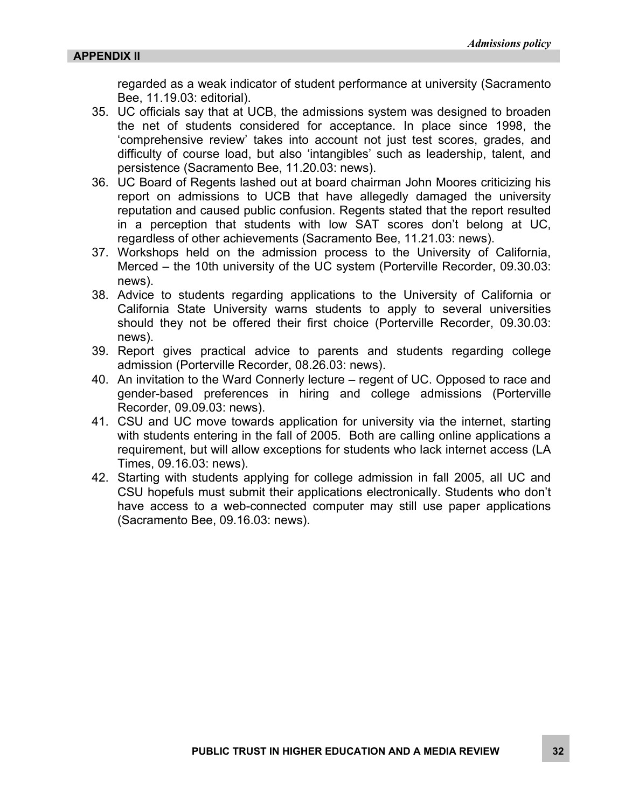regarded as a weak indicator of student performance at university (Sacramento Bee, 11.19.03: editorial).

- 35. UC officials say that at UCB, the admissions system was designed to broaden the net of students considered for acceptance. In place since 1998, the 'comprehensive review' takes into account not just test scores, grades, and difficulty of course load, but also 'intangibles' such as leadership, talent, and persistence (Sacramento Bee, 11.20.03: news).
- 36. UC Board of Regents lashed out at board chairman John Moores criticizing his report on admissions to UCB that have allegedly damaged the university reputation and caused public confusion. Regents stated that the report resulted in a perception that students with low SAT scores don't belong at UC, regardless of other achievements (Sacramento Bee, 11.21.03: news).
- 37. Workshops held on the admission process to the University of California, Merced – the 10th university of the UC system (Porterville Recorder, 09.30.03: news).
- 38. Advice to students regarding applications to the University of California or California State University warns students to apply to several universities should they not be offered their first choice (Porterville Recorder, 09.30.03: news).
- 39. Report gives practical advice to parents and students regarding college admission (Porterville Recorder, 08.26.03: news).
- 40. An invitation to the Ward Connerly lecture regent of UC. Opposed to race and gender-based preferences in hiring and college admissions (Porterville Recorder, 09.09.03: news).
- 41. CSU and UC move towards application for university via the internet, starting with students entering in the fall of 2005. Both are calling online applications a requirement, but will allow exceptions for students who lack internet access (LA Times, 09.16.03: news).
- 42. Starting with students applying for college admission in fall 2005, all UC and CSU hopefuls must submit their applications electronically. Students who don't have access to a web-connected computer may still use paper applications (Sacramento Bee, 09.16.03: news).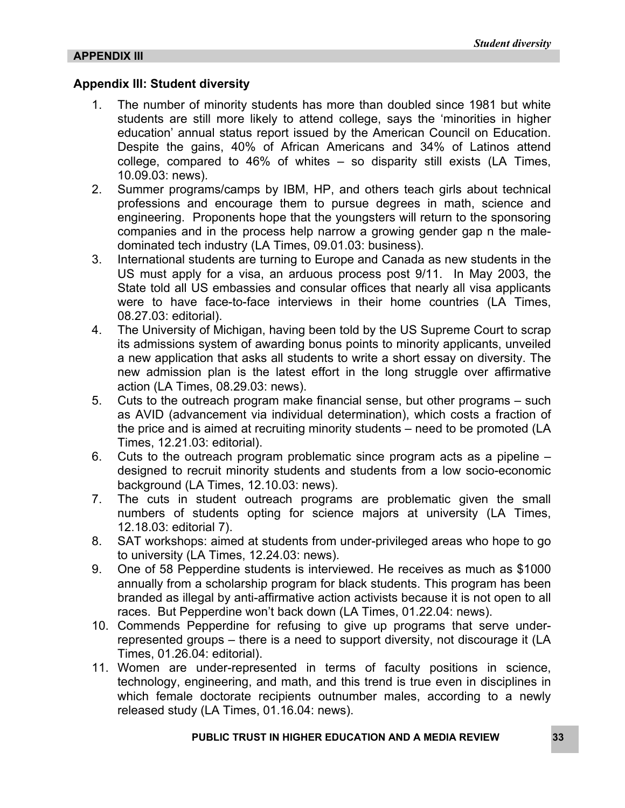#### **Appendix III: Student diversity**

- 1. The number of minority students has more than doubled since 1981 but white students are still more likely to attend college, says the 'minorities in higher education' annual status report issued by the American Council on Education. Despite the gains, 40% of African Americans and 34% of Latinos attend college, compared to 46% of whites – so disparity still exists (LA Times, 10.09.03: news).
- 2. Summer programs/camps by IBM, HP, and others teach girls about technical professions and encourage them to pursue degrees in math, science and engineering. Proponents hope that the youngsters will return to the sponsoring companies and in the process help narrow a growing gender gap n the maledominated tech industry (LA Times, 09.01.03: business).
- 3. International students are turning to Europe and Canada as new students in the US must apply for a visa, an arduous process post 9/11. In May 2003, the State told all US embassies and consular offices that nearly all visa applicants were to have face-to-face interviews in their home countries (LA Times, 08.27.03: editorial).
- 4. The University of Michigan, having been told by the US Supreme Court to scrap its admissions system of awarding bonus points to minority applicants, unveiled a new application that asks all students to write a short essay on diversity. The new admission plan is the latest effort in the long struggle over affirmative action (LA Times, 08.29.03: news).
- 5. Cuts to the outreach program make financial sense, but other programs such as AVID (advancement via individual determination), which costs a fraction of the price and is aimed at recruiting minority students – need to be promoted (LA Times, 12.21.03: editorial).
- 6. Cuts to the outreach program problematic since program acts as a pipeline designed to recruit minority students and students from a low socio-economic background (LA Times, 12.10.03: news).
- 7. The cuts in student outreach programs are problematic given the small numbers of students opting for science majors at university (LA Times, 12.18.03: editorial 7).
- 8. SAT workshops: aimed at students from under-privileged areas who hope to go to university (LA Times, 12.24.03: news).
- 9. One of 58 Pepperdine students is interviewed. He receives as much as \$1000 annually from a scholarship program for black students. This program has been branded as illegal by anti-affirmative action activists because it is not open to all races. But Pepperdine won't back down (LA Times, 01.22.04: news).
- 10. Commends Pepperdine for refusing to give up programs that serve underrepresented groups – there is a need to support diversity, not discourage it (LA Times, 01.26.04: editorial).
- 11. Women are under-represented in terms of faculty positions in science, technology, engineering, and math, and this trend is true even in disciplines in which female doctorate recipients outnumber males, according to a newly released study (LA Times, 01.16.04: news).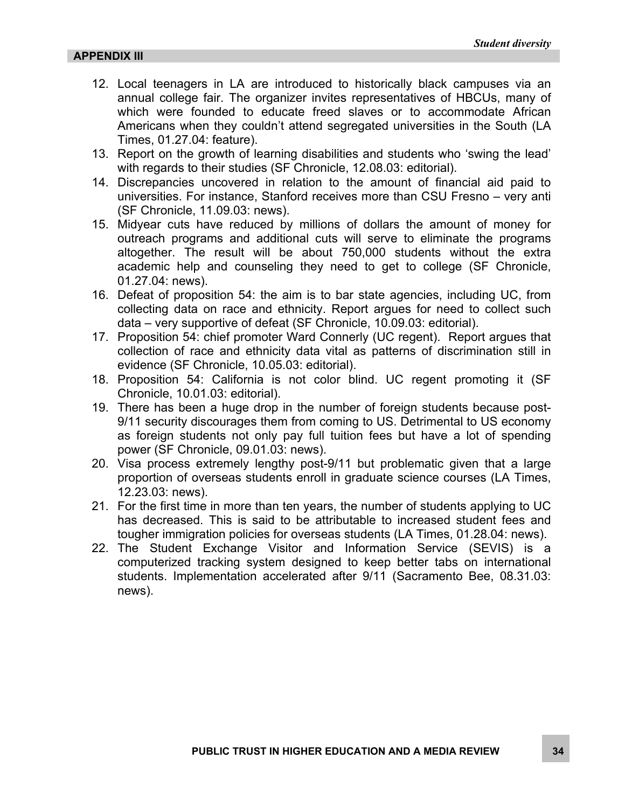- 12. Local teenagers in LA are introduced to historically black campuses via an annual college fair. The organizer invites representatives of HBCUs, many of which were founded to educate freed slaves or to accommodate African Americans when they couldn't attend segregated universities in the South (LA Times, 01.27.04: feature).
- 13. Report on the growth of learning disabilities and students who 'swing the lead' with regards to their studies (SF Chronicle, 12.08.03: editorial).
- 14. Discrepancies uncovered in relation to the amount of financial aid paid to universities. For instance, Stanford receives more than CSU Fresno – very anti (SF Chronicle, 11.09.03: news).
- 15. Midyear cuts have reduced by millions of dollars the amount of money for outreach programs and additional cuts will serve to eliminate the programs altogether. The result will be about 750,000 students without the extra academic help and counseling they need to get to college (SF Chronicle, 01.27.04: news).
- 16. Defeat of proposition 54: the aim is to bar state agencies, including UC, from collecting data on race and ethnicity. Report argues for need to collect such data – very supportive of defeat (SF Chronicle, 10.09.03: editorial).
- 17. Proposition 54: chief promoter Ward Connerly (UC regent). Report argues that collection of race and ethnicity data vital as patterns of discrimination still in evidence (SF Chronicle, 10.05.03: editorial).
- 18. Proposition 54: California is not color blind. UC regent promoting it (SF Chronicle, 10.01.03: editorial).
- 19. There has been a huge drop in the number of foreign students because post-9/11 security discourages them from coming to US. Detrimental to US economy as foreign students not only pay full tuition fees but have a lot of spending power (SF Chronicle, 09.01.03: news).
- 20. Visa process extremely lengthy post-9/11 but problematic given that a large proportion of overseas students enroll in graduate science courses (LA Times, 12.23.03: news).
- 21. For the first time in more than ten years, the number of students applying to UC has decreased. This is said to be attributable to increased student fees and tougher immigration policies for overseas students (LA Times, 01.28.04: news).
- 22. The Student Exchange Visitor and Information Service (SEVIS) is a computerized tracking system designed to keep better tabs on international students. Implementation accelerated after 9/11 (Sacramento Bee, 08.31.03: news).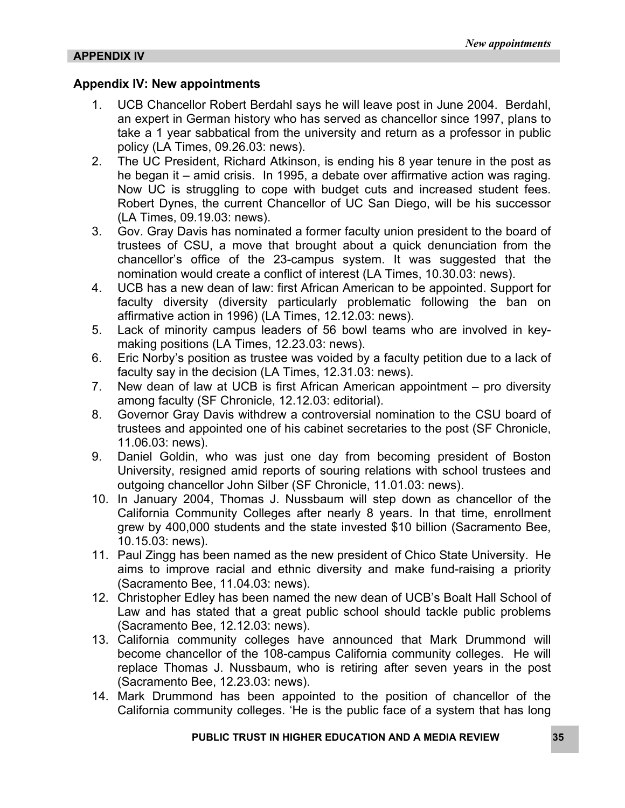#### **Appendix IV: New appointments**

- 1. UCB Chancellor Robert Berdahl says he will leave post in June 2004. Berdahl, an expert in German history who has served as chancellor since 1997, plans to take a 1 year sabbatical from the university and return as a professor in public policy (LA Times, 09.26.03: news).
- 2. The UC President, Richard Atkinson, is ending his 8 year tenure in the post as he began it – amid crisis. In 1995, a debate over affirmative action was raging. Now UC is struggling to cope with budget cuts and increased student fees. Robert Dynes, the current Chancellor of UC San Diego, will be his successor (LA Times, 09.19.03: news).
- 3. Gov. Gray Davis has nominated a former faculty union president to the board of trustees of CSU, a move that brought about a quick denunciation from the chancellor's office of the 23-campus system. It was suggested that the nomination would create a conflict of interest (LA Times, 10.30.03: news).
- 4. UCB has a new dean of law: first African American to be appointed. Support for faculty diversity (diversity particularly problematic following the ban on affirmative action in 1996) (LA Times, 12.12.03: news).
- 5. Lack of minority campus leaders of 56 bowl teams who are involved in keymaking positions (LA Times, 12.23.03: news).
- 6. Eric Norby's position as trustee was voided by a faculty petition due to a lack of faculty say in the decision (LA Times, 12.31.03: news).
- 7. New dean of law at UCB is first African American appointment pro diversity among faculty (SF Chronicle, 12.12.03: editorial).
- 8. Governor Gray Davis withdrew a controversial nomination to the CSU board of trustees and appointed one of his cabinet secretaries to the post (SF Chronicle, 11.06.03: news).
- 9. Daniel Goldin, who was just one day from becoming president of Boston University, resigned amid reports of souring relations with school trustees and outgoing chancellor John Silber (SF Chronicle, 11.01.03: news).
- 10. In January 2004, Thomas J. Nussbaum will step down as chancellor of the California Community Colleges after nearly 8 years. In that time, enrollment grew by 400,000 students and the state invested \$10 billion (Sacramento Bee, 10.15.03: news).
- 11. Paul Zingg has been named as the new president of Chico State University. He aims to improve racial and ethnic diversity and make fund-raising a priority (Sacramento Bee, 11.04.03: news).
- 12. Christopher Edley has been named the new dean of UCB's Boalt Hall School of Law and has stated that a great public school should tackle public problems (Sacramento Bee, 12.12.03: news).
- 13. California community colleges have announced that Mark Drummond will become chancellor of the 108-campus California community colleges. He will replace Thomas J. Nussbaum, who is retiring after seven years in the post (Sacramento Bee, 12.23.03: news).
- 14. Mark Drummond has been appointed to the position of chancellor of the California community colleges. 'He is the public face of a system that has long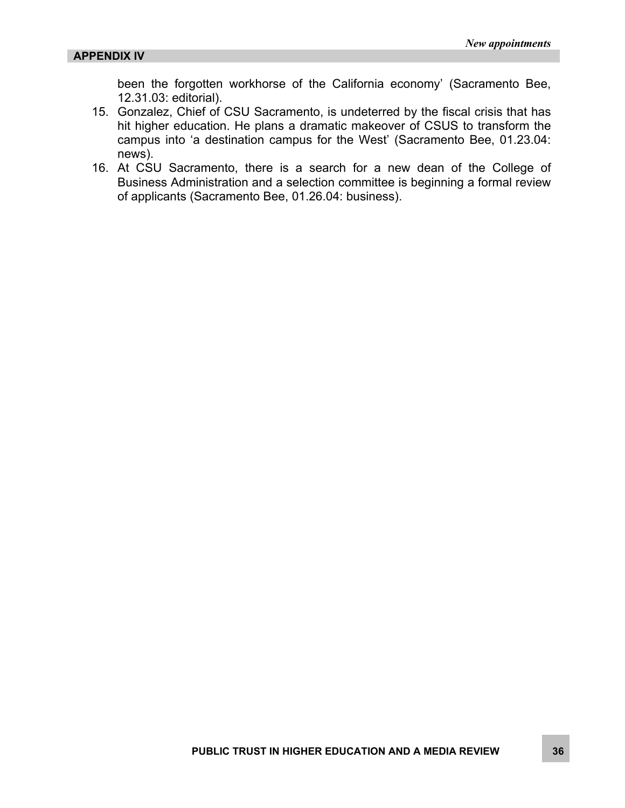been the forgotten workhorse of the California economy' (Sacramento Bee, 12.31.03: editorial).

- 15. Gonzalez, Chief of CSU Sacramento, is undeterred by the fiscal crisis that has hit higher education. He plans a dramatic makeover of CSUS to transform the campus into 'a destination campus for the West' (Sacramento Bee, 01.23.04: news).
- 16. At CSU Sacramento, there is a search for a new dean of the College of Business Administration and a selection committee is beginning a formal review of applicants (Sacramento Bee, 01.26.04: business).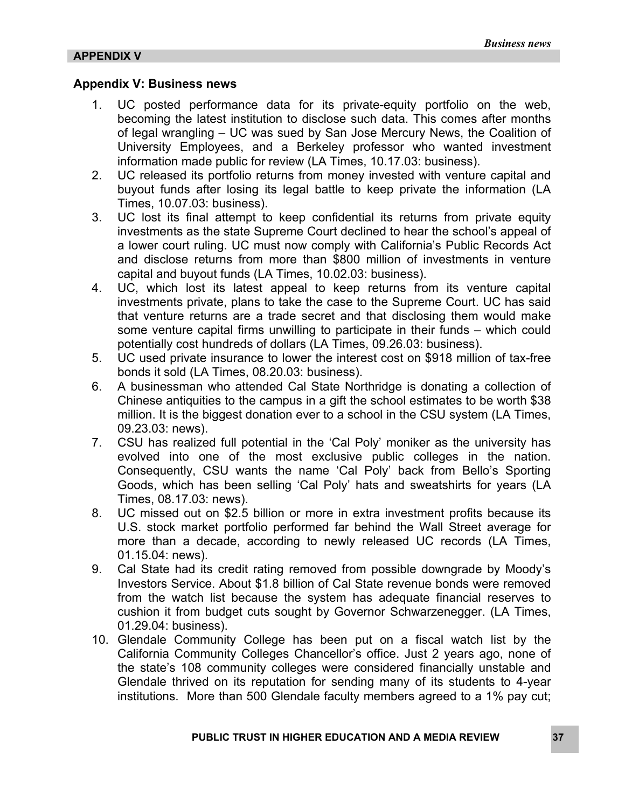#### **Appendix V: Business news**

- 1. UC posted performance data for its private-equity portfolio on the web, becoming the latest institution to disclose such data. This comes after months of legal wrangling – UC was sued by San Jose Mercury News, the Coalition of University Employees, and a Berkeley professor who wanted investment information made public for review (LA Times, 10.17.03: business).
- 2. UC released its portfolio returns from money invested with venture capital and buyout funds after losing its legal battle to keep private the information (LA Times, 10.07.03: business).
- 3. UC lost its final attempt to keep confidential its returns from private equity investments as the state Supreme Court declined to hear the school's appeal of a lower court ruling. UC must now comply with California's Public Records Act and disclose returns from more than \$800 million of investments in venture capital and buyout funds (LA Times, 10.02.03: business).
- 4. UC, which lost its latest appeal to keep returns from its venture capital investments private, plans to take the case to the Supreme Court. UC has said that venture returns are a trade secret and that disclosing them would make some venture capital firms unwilling to participate in their funds – which could potentially cost hundreds of dollars (LA Times, 09.26.03: business).
- 5. UC used private insurance to lower the interest cost on \$918 million of tax-free bonds it sold (LA Times, 08.20.03: business).
- 6. A businessman who attended Cal State Northridge is donating a collection of Chinese antiquities to the campus in a gift the school estimates to be worth \$38 million. It is the biggest donation ever to a school in the CSU system (LA Times, 09.23.03: news).
- 7. CSU has realized full potential in the 'Cal Poly' moniker as the university has evolved into one of the most exclusive public colleges in the nation. Consequently, CSU wants the name 'Cal Poly' back from Bello's Sporting Goods, which has been selling 'Cal Poly' hats and sweatshirts for years (LA Times, 08.17.03: news).
- 8. UC missed out on \$2.5 billion or more in extra investment profits because its U.S. stock market portfolio performed far behind the Wall Street average for more than a decade, according to newly released UC records (LA Times, 01.15.04: news).
- 9. Cal State had its credit rating removed from possible downgrade by Moody's Investors Service. About \$1.8 billion of Cal State revenue bonds were removed from the watch list because the system has adequate financial reserves to cushion it from budget cuts sought by Governor Schwarzenegger. (LA Times, 01.29.04: business).
- 10. Glendale Community College has been put on a fiscal watch list by the California Community Colleges Chancellor's office. Just 2 years ago, none of the state's 108 community colleges were considered financially unstable and Glendale thrived on its reputation for sending many of its students to 4-year institutions. More than 500 Glendale faculty members agreed to a 1% pay cut;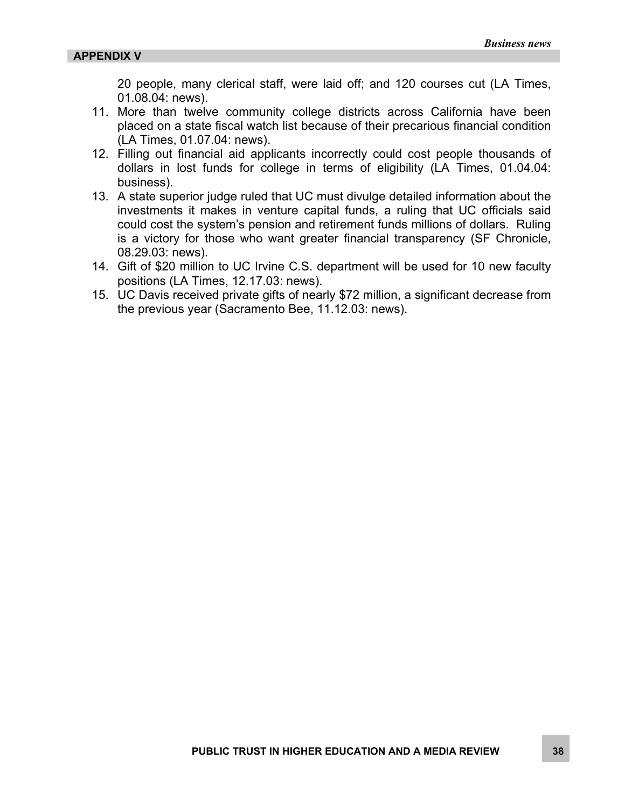20 people, many clerical staff, were laid off; and 120 courses cut (LA Times, 01.08.04: news).

- 11. More than twelve community college districts across California have been placed on a state fiscal watch list because of their precarious financial condition (LA Times, 01.07.04: news).
- 12. Filling out financial aid applicants incorrectly could cost people thousands of dollars in lost funds for college in terms of eligibility (LA Times, 01.04.04: business).
- 13. A state superior judge ruled that UC must divulge detailed information about the investments it makes in venture capital funds, a ruling that UC officials said could cost the system's pension and retirement funds millions of dollars. Ruling is a victory for those who want greater financial transparency (SF Chronicle, 08.29.03: news).
- 14. Gift of \$20 million to UC Irvine C.S. department will be used for 10 new faculty positions (LA Times, 12.17.03: news).
- 15. UC Davis received private gifts of nearly \$72 million, a significant decrease from the previous year (Sacramento Bee, 11.12.03: news).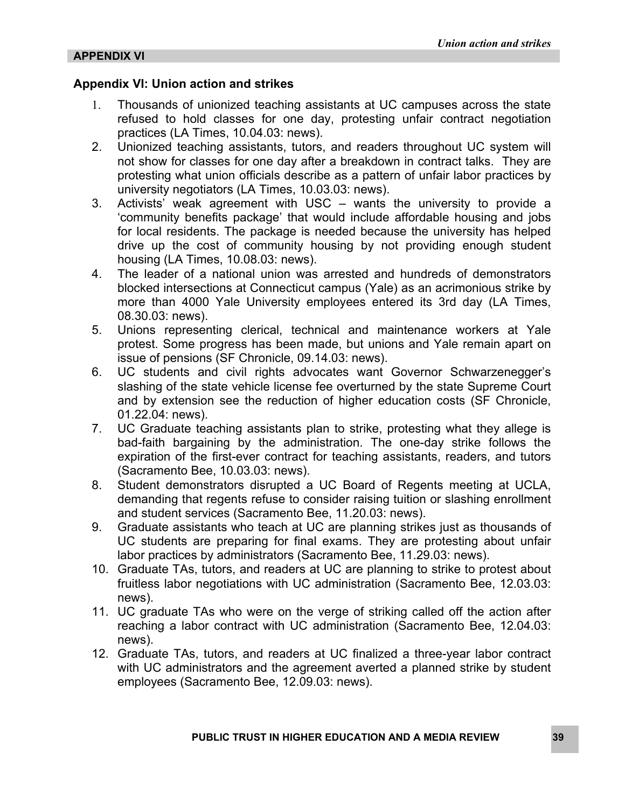#### **Appendix VI: Union action and strikes**

- 1. Thousands of unionized teaching assistants at UC campuses across the state refused to hold classes for one day, protesting unfair contract negotiation practices (LA Times, 10.04.03: news).
- 2. Unionized teaching assistants, tutors, and readers throughout UC system will not show for classes for one day after a breakdown in contract talks. They are protesting what union officials describe as a pattern of unfair labor practices by university negotiators (LA Times, 10.03.03: news).
- 3. Activists' weak agreement with USC wants the university to provide a 'community benefits package' that would include affordable housing and jobs for local residents. The package is needed because the university has helped drive up the cost of community housing by not providing enough student housing (LA Times, 10.08.03: news).
- 4. The leader of a national union was arrested and hundreds of demonstrators blocked intersections at Connecticut campus (Yale) as an acrimonious strike by more than 4000 Yale University employees entered its 3rd day (LA Times, 08.30.03: news).
- 5. Unions representing clerical, technical and maintenance workers at Yale protest. Some progress has been made, but unions and Yale remain apart on issue of pensions (SF Chronicle, 09.14.03: news).
- 6. UC students and civil rights advocates want Governor Schwarzenegger's slashing of the state vehicle license fee overturned by the state Supreme Court and by extension see the reduction of higher education costs (SF Chronicle, 01.22.04: news).
- 7. UC Graduate teaching assistants plan to strike, protesting what they allege is bad-faith bargaining by the administration. The one-day strike follows the expiration of the first-ever contract for teaching assistants, readers, and tutors (Sacramento Bee, 10.03.03: news).
- 8. Student demonstrators disrupted a UC Board of Regents meeting at UCLA, demanding that regents refuse to consider raising tuition or slashing enrollment and student services (Sacramento Bee, 11.20.03: news).
- 9. Graduate assistants who teach at UC are planning strikes just as thousands of UC students are preparing for final exams. They are protesting about unfair labor practices by administrators (Sacramento Bee, 11.29.03: news).
- 10. Graduate TAs, tutors, and readers at UC are planning to strike to protest about fruitless labor negotiations with UC administration (Sacramento Bee, 12.03.03: news).
- 11. UC graduate TAs who were on the verge of striking called off the action after reaching a labor contract with UC administration (Sacramento Bee, 12.04.03: news).
- 12. Graduate TAs, tutors, and readers at UC finalized a three-year labor contract with UC administrators and the agreement averted a planned strike by student employees (Sacramento Bee, 12.09.03: news).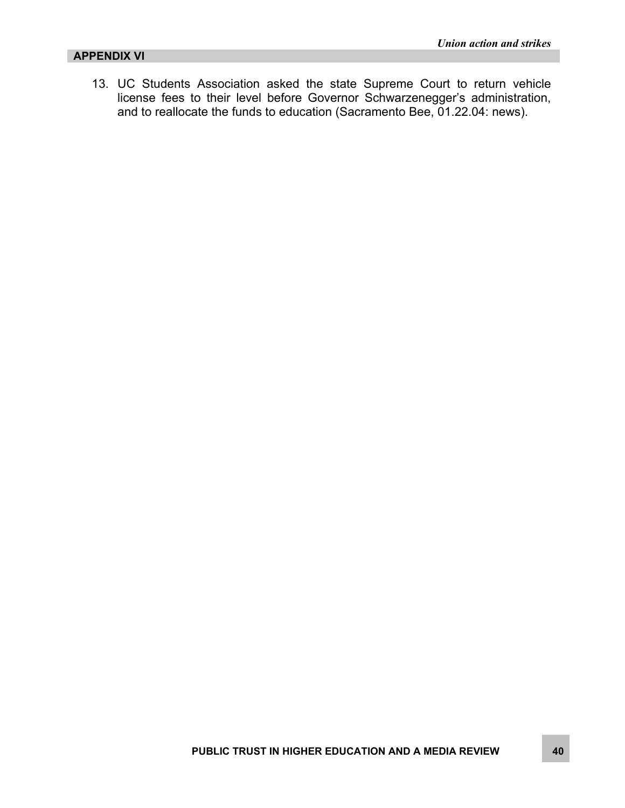#### **APPENDIX VI**

13. UC Students Association asked the state Supreme Court to return vehicle license fees to their level before Governor Schwarzenegger's administration, and to reallocate the funds to education (Sacramento Bee, 01.22.04: news).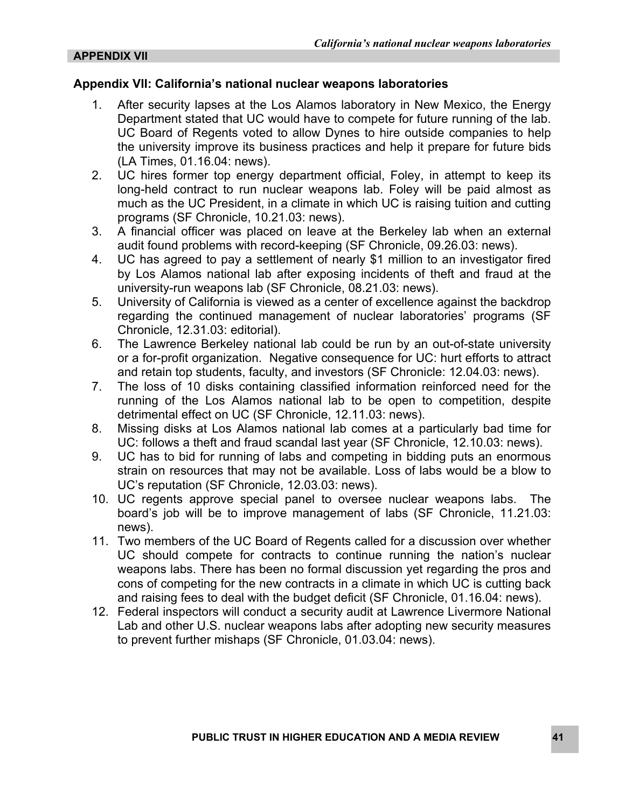#### **Appendix VII: California's national nuclear weapons laboratories**

- 1. After security lapses at the Los Alamos laboratory in New Mexico, the Energy Department stated that UC would have to compete for future running of the lab. UC Board of Regents voted to allow Dynes to hire outside companies to help the university improve its business practices and help it prepare for future bids (LA Times, 01.16.04: news).
- 2. UC hires former top energy department official, Foley, in attempt to keep its long-held contract to run nuclear weapons lab. Foley will be paid almost as much as the UC President, in a climate in which UC is raising tuition and cutting programs (SF Chronicle, 10.21.03: news).
- 3. A financial officer was placed on leave at the Berkeley lab when an external audit found problems with record-keeping (SF Chronicle, 09.26.03: news).
- 4. UC has agreed to pay a settlement of nearly \$1 million to an investigator fired by Los Alamos national lab after exposing incidents of theft and fraud at the university-run weapons lab (SF Chronicle, 08.21.03: news).
- 5. University of California is viewed as a center of excellence against the backdrop regarding the continued management of nuclear laboratories' programs (SF Chronicle, 12.31.03: editorial).
- 6. The Lawrence Berkeley national lab could be run by an out-of-state university or a for-profit organization. Negative consequence for UC: hurt efforts to attract and retain top students, faculty, and investors (SF Chronicle: 12.04.03: news).
- 7. The loss of 10 disks containing classified information reinforced need for the running of the Los Alamos national lab to be open to competition, despite detrimental effect on UC (SF Chronicle, 12.11.03: news).
- 8. Missing disks at Los Alamos national lab comes at a particularly bad time for UC: follows a theft and fraud scandal last year (SF Chronicle, 12.10.03: news).
- 9. UC has to bid for running of labs and competing in bidding puts an enormous strain on resources that may not be available. Loss of labs would be a blow to UC's reputation (SF Chronicle, 12.03.03: news).
- 10. UC regents approve special panel to oversee nuclear weapons labs. The board's job will be to improve management of labs (SF Chronicle, 11.21.03: news).
- 11. Two members of the UC Board of Regents called for a discussion over whether UC should compete for contracts to continue running the nation's nuclear weapons labs. There has been no formal discussion yet regarding the pros and cons of competing for the new contracts in a climate in which UC is cutting back and raising fees to deal with the budget deficit (SF Chronicle, 01.16.04: news).
- 12. Federal inspectors will conduct a security audit at Lawrence Livermore National Lab and other U.S. nuclear weapons labs after adopting new security measures to prevent further mishaps (SF Chronicle, 01.03.04: news).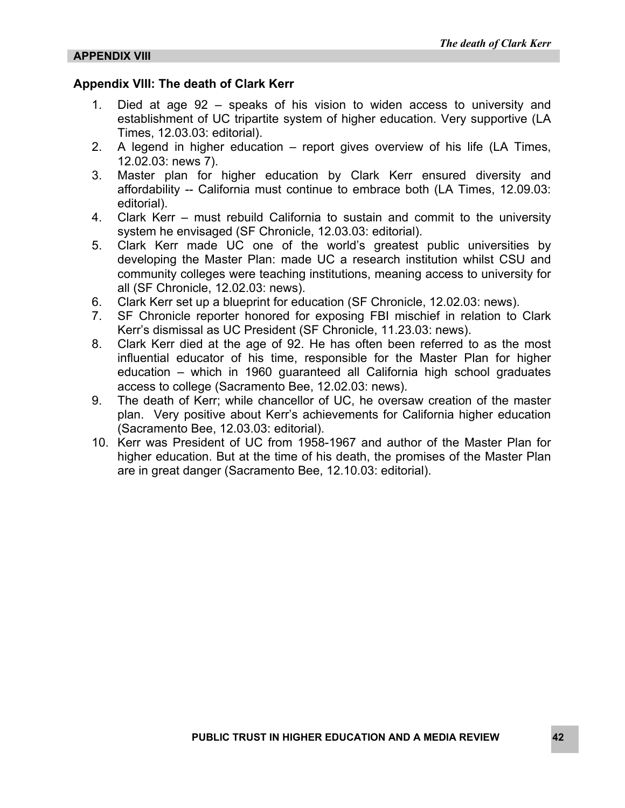#### **Appendix VIII: The death of Clark Kerr**

- 1. Died at age 92 speaks of his vision to widen access to university and establishment of UC tripartite system of higher education. Very supportive (LA Times, 12.03.03: editorial).
- 2. A legend in higher education report gives overview of his life (LA Times, 12.02.03: news 7).
- 3. Master plan for higher education by Clark Kerr ensured diversity and affordability -- California must continue to embrace both (LA Times, 12.09.03: editorial).
- 4. Clark Kerr must rebuild California to sustain and commit to the university system he envisaged (SF Chronicle, 12.03.03: editorial).
- 5. Clark Kerr made UC one of the world's greatest public universities by developing the Master Plan: made UC a research institution whilst CSU and community colleges were teaching institutions, meaning access to university for all (SF Chronicle, 12.02.03: news).
- 6. Clark Kerr set up a blueprint for education (SF Chronicle, 12.02.03: news).
- 7. SF Chronicle reporter honored for exposing FBI mischief in relation to Clark Kerr's dismissal as UC President (SF Chronicle, 11.23.03: news).
- 8. Clark Kerr died at the age of 92. He has often been referred to as the most influential educator of his time, responsible for the Master Plan for higher education – which in 1960 guaranteed all California high school graduates access to college (Sacramento Bee, 12.02.03: news).
- 9. The death of Kerr; while chancellor of UC, he oversaw creation of the master plan. Very positive about Kerr's achievements for California higher education (Sacramento Bee, 12.03.03: editorial).
- 10. Kerr was President of UC from 1958-1967 and author of the Master Plan for higher education. But at the time of his death, the promises of the Master Plan are in great danger (Sacramento Bee, 12.10.03: editorial).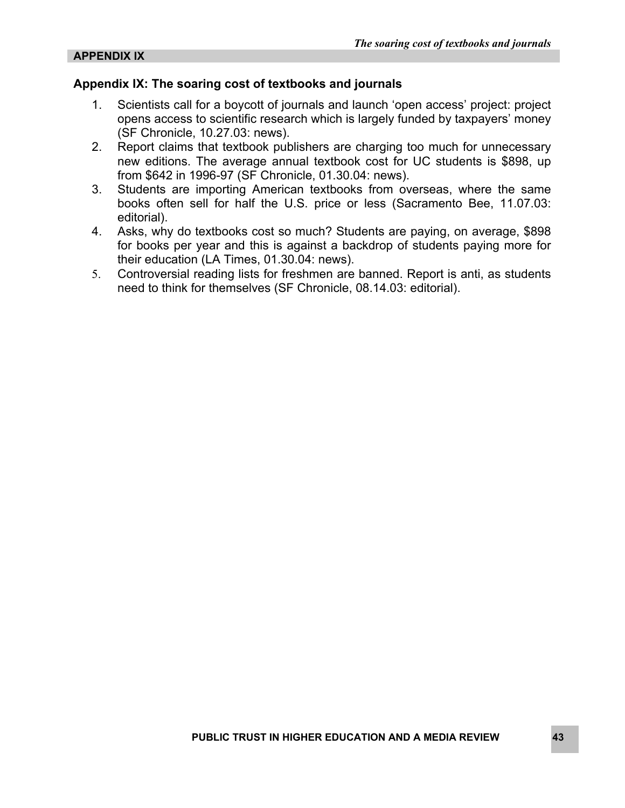#### **Appendix IX: The soaring cost of textbooks and journals**

- 1. Scientists call for a boycott of journals and launch 'open access' project: project opens access to scientific research which is largely funded by taxpayers' money (SF Chronicle, 10.27.03: news).
- 2. Report claims that textbook publishers are charging too much for unnecessary new editions. The average annual textbook cost for UC students is \$898, up from \$642 in 1996-97 (SF Chronicle, 01.30.04: news).
- 3. Students are importing American textbooks from overseas, where the same books often sell for half the U.S. price or less (Sacramento Bee, 11.07.03: editorial).
- 4. Asks, why do textbooks cost so much? Students are paying, on average, \$898 for books per year and this is against a backdrop of students paying more for their education (LA Times, 01.30.04: news).
- 5. Controversial reading lists for freshmen are banned. Report is anti, as students need to think for themselves (SF Chronicle, 08.14.03: editorial).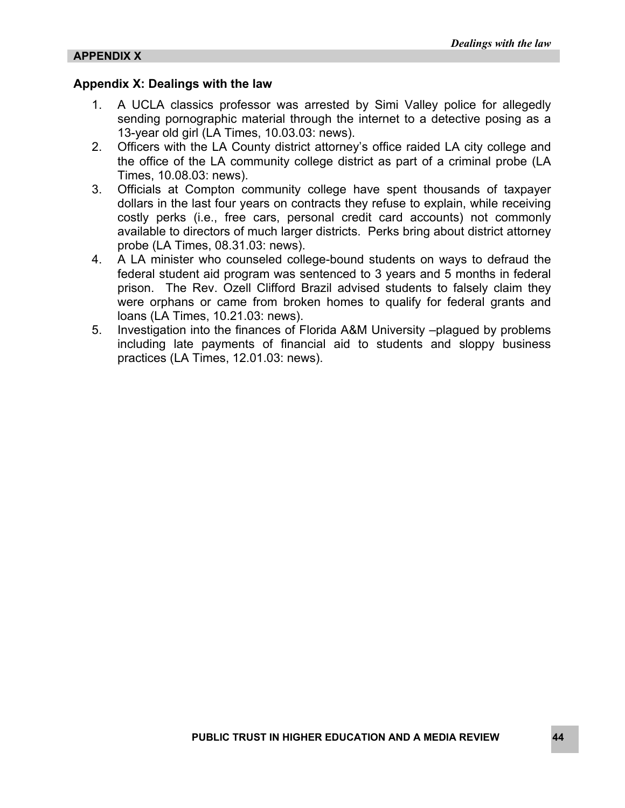#### **Appendix X: Dealings with the law**

- 1. A UCLA classics professor was arrested by Simi Valley police for allegedly sending pornographic material through the internet to a detective posing as a 13-year old girl (LA Times, 10.03.03: news).
- 2. Officers with the LA County district attorney's office raided LA city college and the office of the LA community college district as part of a criminal probe (LA Times, 10.08.03: news).
- 3. Officials at Compton community college have spent thousands of taxpayer dollars in the last four years on contracts they refuse to explain, while receiving costly perks (i.e., free cars, personal credit card accounts) not commonly available to directors of much larger districts. Perks bring about district attorney probe (LA Times, 08.31.03: news).
- 4. A LA minister who counseled college-bound students on ways to defraud the federal student aid program was sentenced to 3 years and 5 months in federal prison. The Rev. Ozell Clifford Brazil advised students to falsely claim they were orphans or came from broken homes to qualify for federal grants and loans (LA Times, 10.21.03: news).
- 5. Investigation into the finances of Florida A&M University –plagued by problems including late payments of financial aid to students and sloppy business practices (LA Times, 12.01.03: news).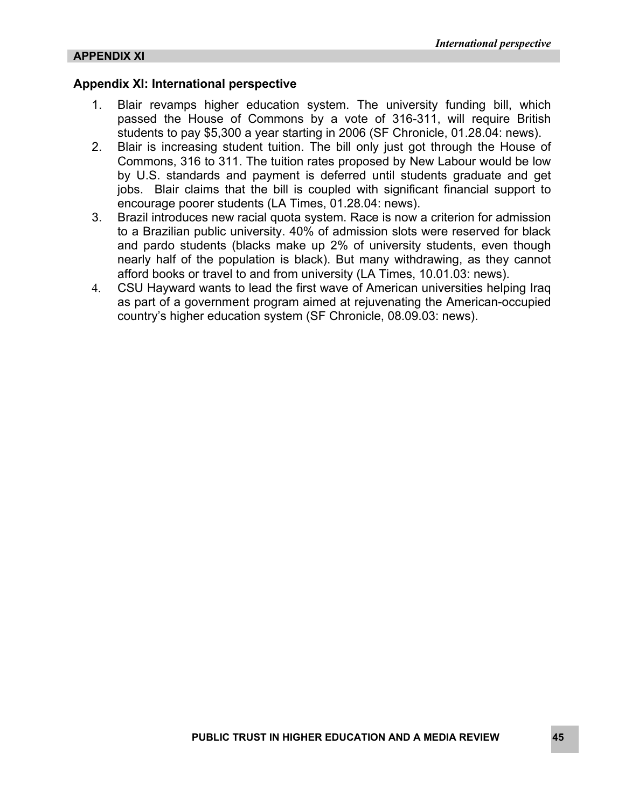#### **Appendix XI: International perspective**

- 1. Blair revamps higher education system. The university funding bill, which passed the House of Commons by a vote of 316-311, will require British students to pay \$5,300 a year starting in 2006 (SF Chronicle, 01.28.04: news).
- 2. Blair is increasing student tuition. The bill only just got through the House of Commons, 316 to 311. The tuition rates proposed by New Labour would be low by U.S. standards and payment is deferred until students graduate and get jobs. Blair claims that the bill is coupled with significant financial support to encourage poorer students (LA Times, 01.28.04: news).
- 3. Brazil introduces new racial quota system. Race is now a criterion for admission to a Brazilian public university. 40% of admission slots were reserved for black and pardo students (blacks make up 2% of university students, even though nearly half of the population is black). But many withdrawing, as they cannot afford books or travel to and from university (LA Times, 10.01.03: news).
- 4. CSU Hayward wants to lead the first wave of American universities helping Iraq as part of a government program aimed at rejuvenating the American-occupied country's higher education system (SF Chronicle, 08.09.03: news).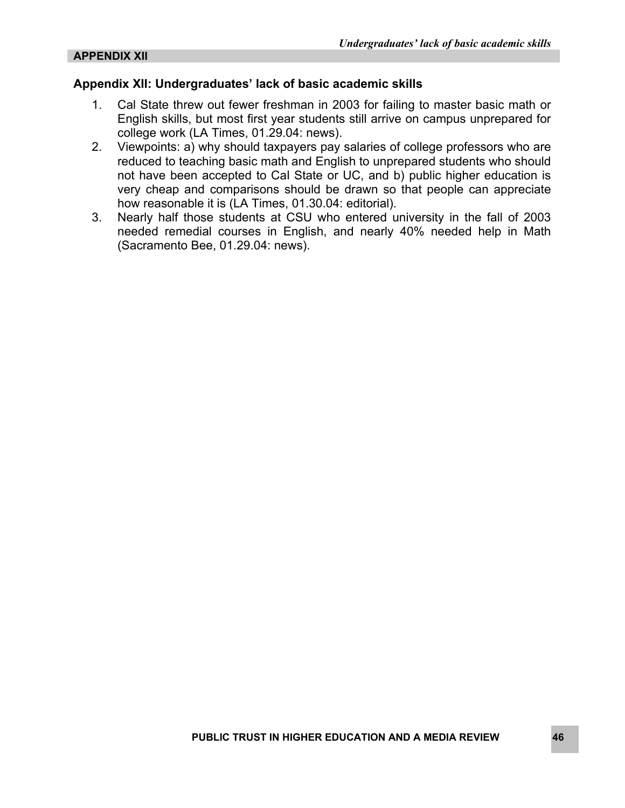#### **Appendix XII: Undergraduates' lack of basic academic skills**

- 1. Cal State threw out fewer freshman in 2003 for failing to master basic math or English skills, but most first year students still arrive on campus unprepared for college work (LA Times, 01.29.04: news).
- 2. Viewpoints: a) why should taxpayers pay salaries of college professors who are reduced to teaching basic math and English to unprepared students who should not have been accepted to Cal State or UC, and b) public higher education is very cheap and comparisons should be drawn so that people can appreciate how reasonable it is (LA Times, 01.30.04: editorial).
- 3. Nearly half those students at CSU who entered university in the fall of 2003 needed remedial courses in English, and nearly 40% needed help in Math (Sacramento Bee, 01.29.04: news).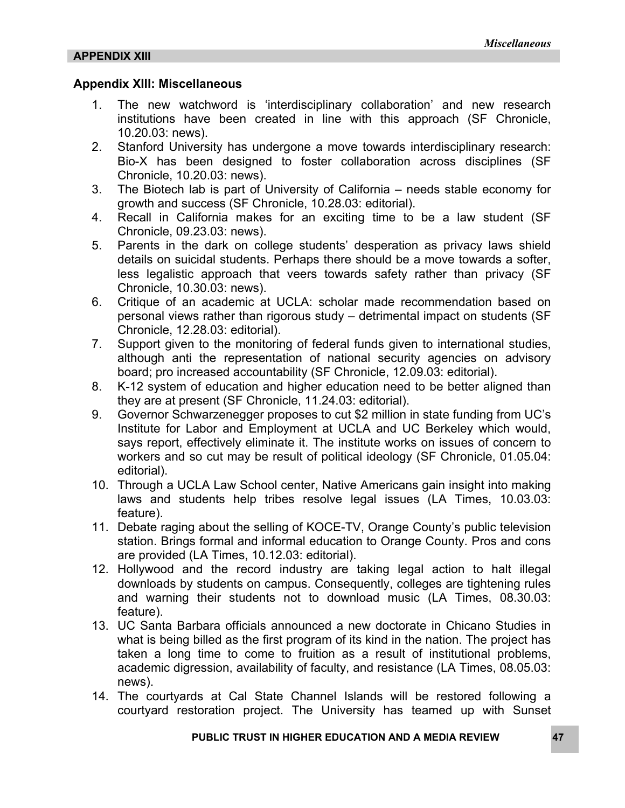#### **Appendix XIII: Miscellaneous**

- 1. The new watchword is 'interdisciplinary collaboration' and new research institutions have been created in line with this approach (SF Chronicle, 10.20.03: news).
- 2. Stanford University has undergone a move towards interdisciplinary research: Bio-X has been designed to foster collaboration across disciplines (SF Chronicle, 10.20.03: news).
- 3. The Biotech lab is part of University of California needs stable economy for growth and success (SF Chronicle, 10.28.03: editorial).
- 4. Recall in California makes for an exciting time to be a law student (SF Chronicle, 09.23.03: news).
- 5. Parents in the dark on college students' desperation as privacy laws shield details on suicidal students. Perhaps there should be a move towards a softer, less legalistic approach that veers towards safety rather than privacy (SF Chronicle, 10.30.03: news).
- 6. Critique of an academic at UCLA: scholar made recommendation based on personal views rather than rigorous study – detrimental impact on students (SF Chronicle, 12.28.03: editorial).
- 7. Support given to the monitoring of federal funds given to international studies, although anti the representation of national security agencies on advisory board; pro increased accountability (SF Chronicle, 12.09.03: editorial).
- 8. K-12 system of education and higher education need to be better aligned than they are at present (SF Chronicle, 11.24.03: editorial).
- 9. Governor Schwarzenegger proposes to cut \$2 million in state funding from UC's Institute for Labor and Employment at UCLA and UC Berkeley which would, says report, effectively eliminate it. The institute works on issues of concern to workers and so cut may be result of political ideology (SF Chronicle, 01.05.04: editorial).
- 10. Through a UCLA Law School center, Native Americans gain insight into making laws and students help tribes resolve legal issues (LA Times, 10.03.03: feature).
- 11. Debate raging about the selling of KOCE-TV, Orange County's public television station. Brings formal and informal education to Orange County. Pros and cons are provided (LA Times, 10.12.03: editorial).
- 12. Hollywood and the record industry are taking legal action to halt illegal downloads by students on campus. Consequently, colleges are tightening rules and warning their students not to download music (LA Times, 08.30.03: feature).
- 13. UC Santa Barbara officials announced a new doctorate in Chicano Studies in what is being billed as the first program of its kind in the nation. The project has taken a long time to come to fruition as a result of institutional problems, academic digression, availability of faculty, and resistance (LA Times, 08.05.03: news).
- 14. The courtyards at Cal State Channel Islands will be restored following a courtyard restoration project. The University has teamed up with Sunset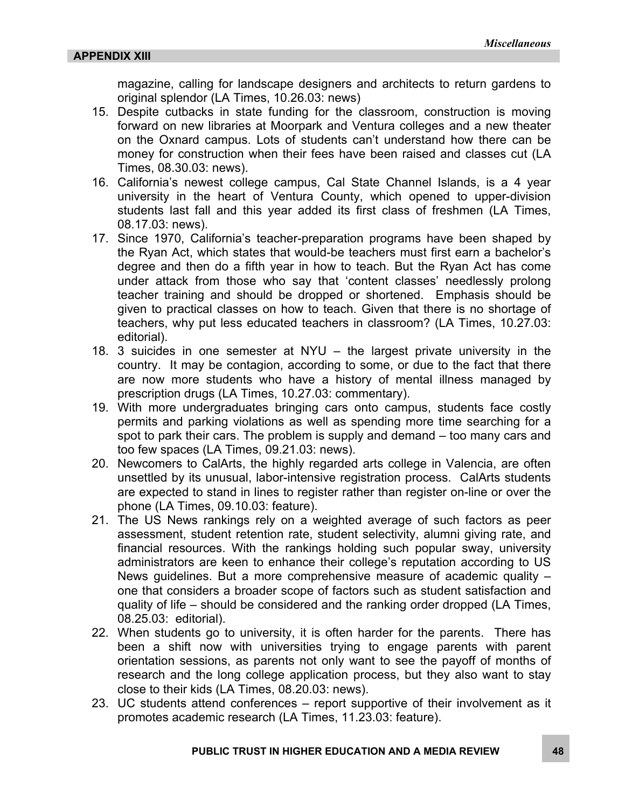magazine, calling for landscape designers and architects to return gardens to original splendor (LA Times, 10.26.03: news)

- 15. Despite cutbacks in state funding for the classroom, construction is moving forward on new libraries at Moorpark and Ventura colleges and a new theater on the Oxnard campus. Lots of students can't understand how there can be money for construction when their fees have been raised and classes cut (LA Times, 08.30.03: news).
- 16. California's newest college campus, Cal State Channel Islands, is a 4 year university in the heart of Ventura County, which opened to upper-division students last fall and this year added its first class of freshmen (LA Times, 08.17.03: news).
- 17. Since 1970, California's teacher-preparation programs have been shaped by the Ryan Act, which states that would-be teachers must first earn a bachelor's degree and then do a fifth year in how to teach. But the Ryan Act has come under attack from those who say that 'content classes' needlessly prolong teacher training and should be dropped or shortened. Emphasis should be given to practical classes on how to teach. Given that there is no shortage of teachers, why put less educated teachers in classroom? (LA Times, 10.27.03: editorial).
- 18. 3 suicides in one semester at NYU the largest private university in the country. It may be contagion, according to some, or due to the fact that there are now more students who have a history of mental illness managed by prescription drugs (LA Times, 10.27.03: commentary).
- 19. With more undergraduates bringing cars onto campus, students face costly permits and parking violations as well as spending more time searching for a spot to park their cars. The problem is supply and demand – too many cars and too few spaces (LA Times, 09.21.03: news).
- 20. Newcomers to CalArts, the highly regarded arts college in Valencia, are often unsettled by its unusual, labor-intensive registration process. CalArts students are expected to stand in lines to register rather than register on-line or over the phone (LA Times, 09.10.03: feature).
- 21. The US News rankings rely on a weighted average of such factors as peer assessment, student retention rate, student selectivity, alumni giving rate, and financial resources. With the rankings holding such popular sway, university administrators are keen to enhance their college's reputation according to US News guidelines. But a more comprehensive measure of academic quality – one that considers a broader scope of factors such as student satisfaction and quality of life – should be considered and the ranking order dropped (LA Times, 08.25.03: editorial).
- 22. When students go to university, it is often harder for the parents. There has been a shift now with universities trying to engage parents with parent orientation sessions, as parents not only want to see the payoff of months of research and the long college application process, but they also want to stay close to their kids (LA Times, 08.20.03: news).
- 23. UC students attend conferences report supportive of their involvement as it promotes academic research (LA Times, 11.23.03: feature).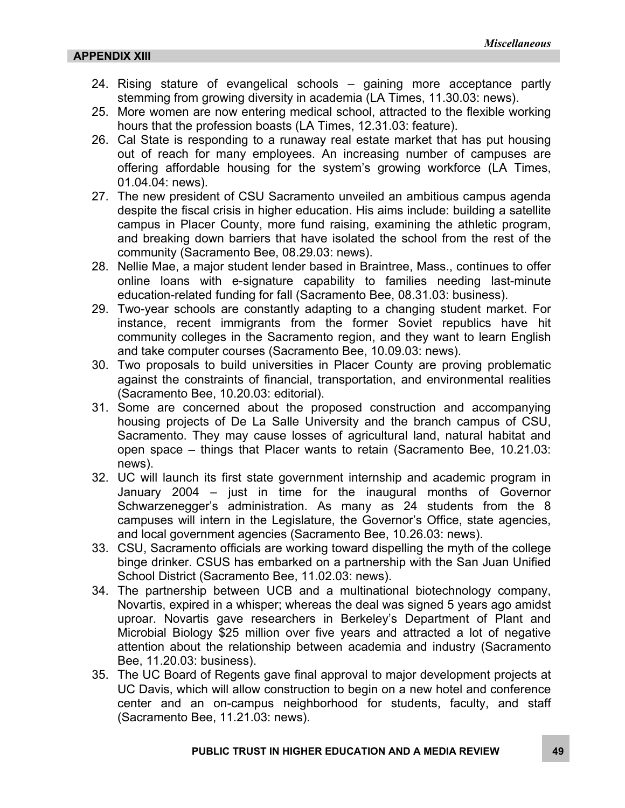- 24. Rising stature of evangelical schools gaining more acceptance partly stemming from growing diversity in academia (LA Times, 11.30.03: news).
- 25. More women are now entering medical school, attracted to the flexible working hours that the profession boasts (LA Times, 12.31.03: feature).
- 26. Cal State is responding to a runaway real estate market that has put housing out of reach for many employees. An increasing number of campuses are offering affordable housing for the system's growing workforce (LA Times, 01.04.04: news).
- 27. The new president of CSU Sacramento unveiled an ambitious campus agenda despite the fiscal crisis in higher education. His aims include: building a satellite campus in Placer County, more fund raising, examining the athletic program, and breaking down barriers that have isolated the school from the rest of the community (Sacramento Bee, 08.29.03: news).
- 28. Nellie Mae, a major student lender based in Braintree, Mass., continues to offer online loans with e-signature capability to families needing last-minute education-related funding for fall (Sacramento Bee, 08.31.03: business).
- 29. Two-year schools are constantly adapting to a changing student market. For instance, recent immigrants from the former Soviet republics have hit community colleges in the Sacramento region, and they want to learn English and take computer courses (Sacramento Bee, 10.09.03: news).
- 30. Two proposals to build universities in Placer County are proving problematic against the constraints of financial, transportation, and environmental realities (Sacramento Bee, 10.20.03: editorial).
- 31. Some are concerned about the proposed construction and accompanying housing projects of De La Salle University and the branch campus of CSU, Sacramento. They may cause losses of agricultural land, natural habitat and open space – things that Placer wants to retain (Sacramento Bee, 10.21.03: news).
- 32. UC will launch its first state government internship and academic program in January 2004 – just in time for the inaugural months of Governor Schwarzenegger's administration. As many as 24 students from the 8 campuses will intern in the Legislature, the Governor's Office, state agencies, and local government agencies (Sacramento Bee, 10.26.03: news).
- 33. CSU, Sacramento officials are working toward dispelling the myth of the college binge drinker. CSUS has embarked on a partnership with the San Juan Unified School District (Sacramento Bee, 11.02.03: news).
- 34. The partnership between UCB and a multinational biotechnology company, Novartis, expired in a whisper; whereas the deal was signed 5 years ago amidst uproar. Novartis gave researchers in Berkeley's Department of Plant and Microbial Biology \$25 million over five years and attracted a lot of negative attention about the relationship between academia and industry (Sacramento Bee, 11.20.03: business).
- 35. The UC Board of Regents gave final approval to major development projects at UC Davis, which will allow construction to begin on a new hotel and conference center and an on-campus neighborhood for students, faculty, and staff (Sacramento Bee, 11.21.03: news).